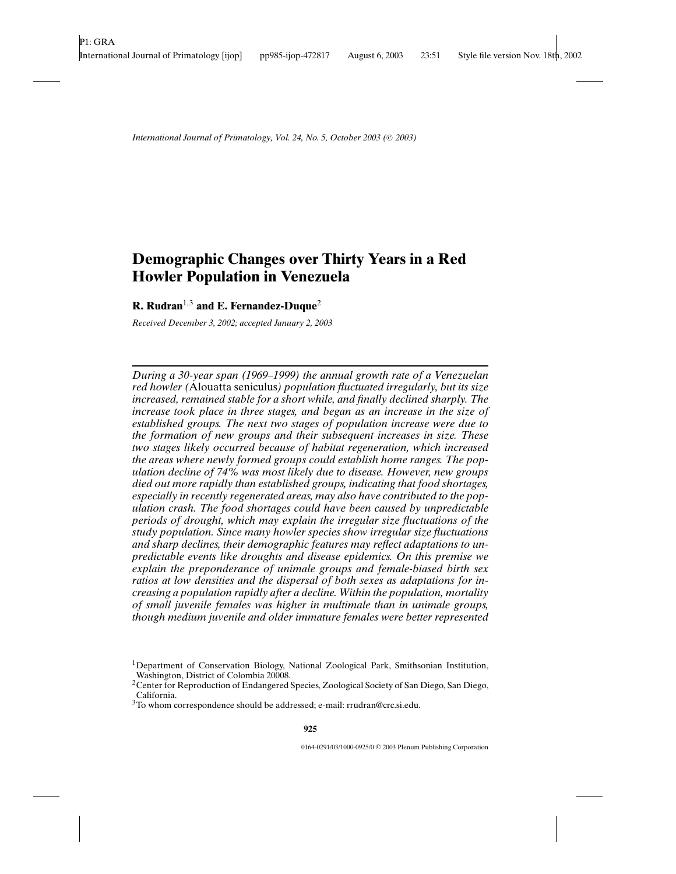International Journal of Primatology, Vol. 24, No. 5, October 2003 (© 2003)

# **Demographic Changes over Thirty Years in a Red Howler Population in Venezuela**

# **R. Rudran**1,3 **and E. Fernandez-Duque**<sup>2</sup>

*Received December 3, 2002; accepted January 2, 2003*

*During a 30-year span (1969–1999) the annual growth rate of a Venezuelan red howler (*Alouatta seniculus*) population fluctuated irregularly, but its size increased, remained stable for a short while, and finally declined sharply. The increase took place in three stages, and began as an increase in the size of established groups. The next two stages of population increase were due to the formation of new groups and their subsequent increases in size. These two stages likely occurred because of habitat regeneration, which increased the areas where newly formed groups could establish home ranges. The population decline of 74% was most likely due to disease. However, new groups died out more rapidly than established groups, indicating that food shortages, especially in recently regenerated areas, may also have contributed to the population crash. The food shortages could have been caused by unpredictable periods of drought, which may explain the irregular size fluctuations of the study population. Since many howler species show irregular size fluctuations and sharp declines, their demographic features may reflect adaptations to unpredictable events like droughts and disease epidemics. On this premise we explain the preponderance of unimale groups and female-biased birth sex ratios at low densities and the dispersal of both sexes as adaptations for increasing a population rapidly after a decline. Within the population, mortality of small juvenile females was higher in multimale than in unimale groups, though medium juvenile and older immature females were better represented*

#### **925**

<sup>&</sup>lt;sup>1</sup>Department of Conservation Biology, National Zoological Park, Smithsonian Institution, Washington, District of Colombia 20008.

<sup>&</sup>lt;sup>2</sup> Center for Reproduction of Endangered Species, Zoological Society of San Diego, San Diego, California.

<sup>&</sup>lt;sup>3</sup>To whom correspondence should be addressed; e-mail: rrudran@crc.si.edu.

<sup>0164-0291/03/1000-0925/0 © 2003</sup> Plenum Publishing Corporation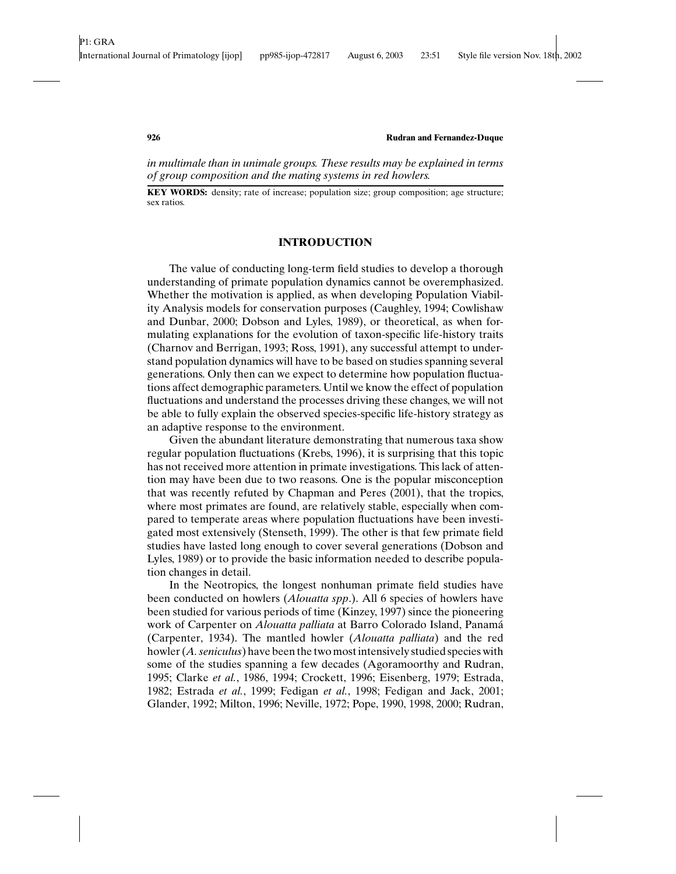*in multimale than in unimale groups. These results may be explained in terms of group composition and the mating systems in red howlers.*

**KEY WORDS:** density; rate of increase; population size; group composition; age structure; sex ratios.

## **INTRODUCTION**

The value of conducting long-term field studies to develop a thorough understanding of primate population dynamics cannot be overemphasized. Whether the motivation is applied, as when developing Population Viability Analysis models for conservation purposes (Caughley, 1994; Cowlishaw and Dunbar, 2000; Dobson and Lyles, 1989), or theoretical, as when formulating explanations for the evolution of taxon-specific life-history traits (Charnov and Berrigan, 1993; Ross, 1991), any successful attempt to understand population dynamics will have to be based on studies spanning several generations. Only then can we expect to determine how population fluctuations affect demographic parameters. Until we know the effect of population fluctuations and understand the processes driving these changes, we will not be able to fully explain the observed species-specific life-history strategy as an adaptive response to the environment.

Given the abundant literature demonstrating that numerous taxa show regular population fluctuations (Krebs, 1996), it is surprising that this topic has not received more attention in primate investigations. This lack of attention may have been due to two reasons. One is the popular misconception that was recently refuted by Chapman and Peres (2001), that the tropics, where most primates are found, are relatively stable, especially when compared to temperate areas where population fluctuations have been investigated most extensively (Stenseth, 1999). The other is that few primate field studies have lasted long enough to cover several generations (Dobson and Lyles, 1989) or to provide the basic information needed to describe population changes in detail.

In the Neotropics, the longest nonhuman primate field studies have been conducted on howlers (*Alouatta spp*.). All 6 species of howlers have been studied for various periods of time (Kinzey, 1997) since the pioneering work of Carpenter on *Alouatta palliata* at Barro Colorado Island, Panama´ (Carpenter, 1934). The mantled howler (*Alouatta palliata*) and the red howler (*A. seniculus*) have been the two most intensively studied species with some of the studies spanning a few decades (Agoramoorthy and Rudran, 1995; Clarke *et al.*, 1986, 1994; Crockett, 1996; Eisenberg, 1979; Estrada, 1982; Estrada *et al.*, 1999; Fedigan *et al.*, 1998; Fedigan and Jack, 2001; Glander, 1992; Milton, 1996; Neville, 1972; Pope, 1990, 1998, 2000; Rudran,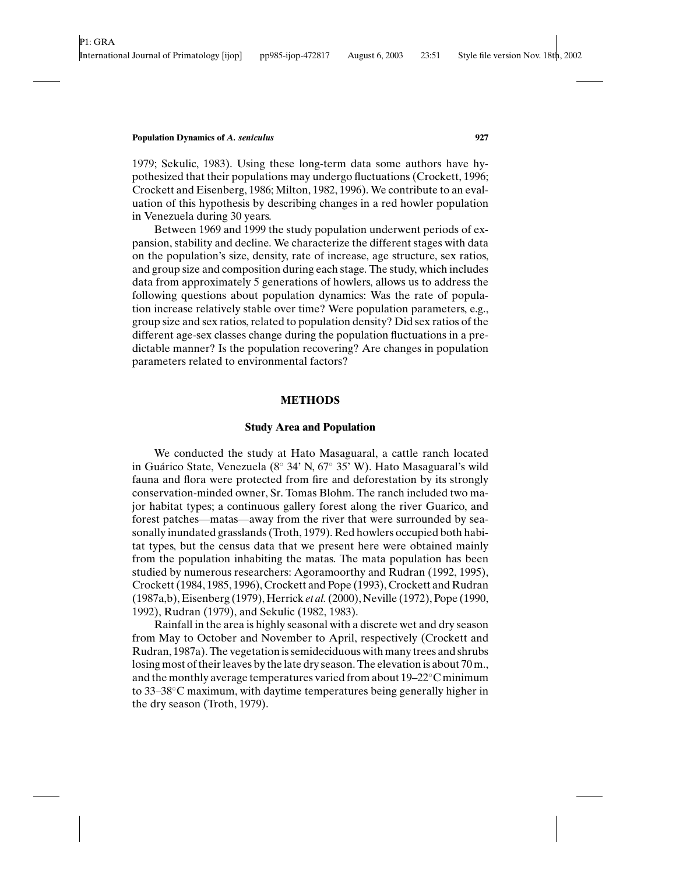1979; Sekulic, 1983). Using these long-term data some authors have hypothesized that their populations may undergo fluctuations (Crockett, 1996; Crockett and Eisenberg, 1986; Milton, 1982, 1996). We contribute to an evaluation of this hypothesis by describing changes in a red howler population in Venezuela during 30 years.

Between 1969 and 1999 the study population underwent periods of expansion, stability and decline. We characterize the different stages with data on the population's size, density, rate of increase, age structure, sex ratios, and group size and composition during each stage. The study, which includes data from approximately 5 generations of howlers, allows us to address the following questions about population dynamics: Was the rate of population increase relatively stable over time? Were population parameters, e.g., group size and sex ratios, related to population density? Did sex ratios of the different age-sex classes change during the population fluctuations in a predictable manner? Is the population recovering? Are changes in population parameters related to environmental factors?

### **METHODS**

#### **Study Area and Population**

We conducted the study at Hato Masaguaral, a cattle ranch located in Guárico State, Venezuela (8° 34' N, 67° 35' W). Hato Masaguaral's wild fauna and flora were protected from fire and deforestation by its strongly conservation-minded owner, Sr. Tomas Blohm. The ranch included two major habitat types; a continuous gallery forest along the river Guarico, and forest patches—matas—away from the river that were surrounded by seasonally inundated grasslands (Troth, 1979). Red howlers occupied both habitat types, but the census data that we present here were obtained mainly from the population inhabiting the matas. The mata population has been studied by numerous researchers: Agoramoorthy and Rudran (1992, 1995), Crockett (1984, 1985, 1996), Crockett and Pope (1993), Crockett and Rudran (1987a,b), Eisenberg (1979), Herrick *et al.*(2000), Neville (1972), Pope (1990, 1992), Rudran (1979), and Sekulic (1982, 1983).

Rainfall in the area is highly seasonal with a discrete wet and dry season from May to October and November to April, respectively (Crockett and Rudran, 1987a). The vegetation is semideciduous with many trees and shrubs losing most of their leaves by the late dry season. The elevation is about 70 m., and the monthly average temperatures varied from about 19–22◦C minimum to 33–38◦C maximum, with daytime temperatures being generally higher in the dry season (Troth, 1979).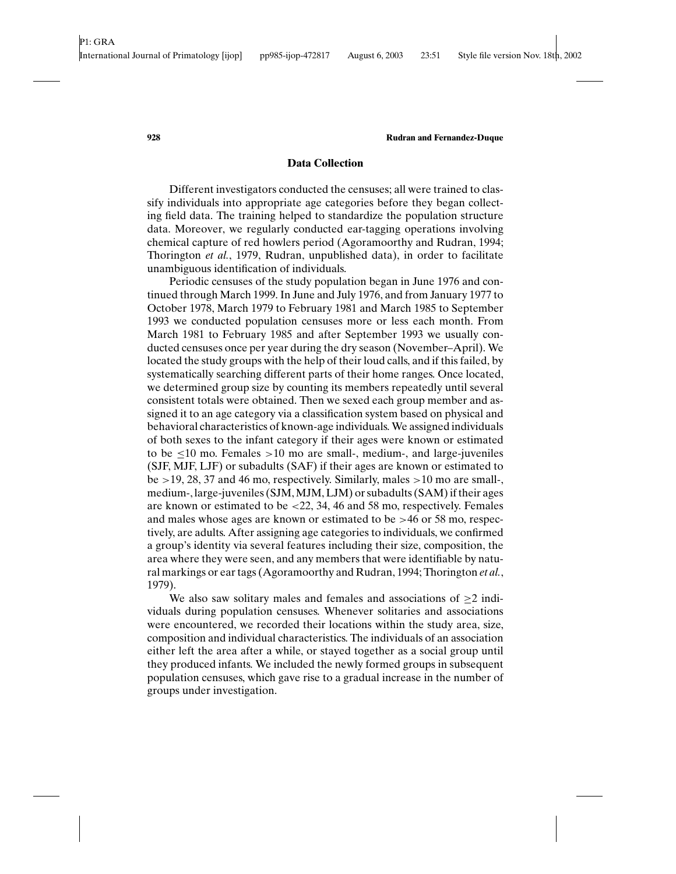#### **Data Collection**

Different investigators conducted the censuses; all were trained to classify individuals into appropriate age categories before they began collecting field data. The training helped to standardize the population structure data. Moreover, we regularly conducted ear-tagging operations involving chemical capture of red howlers period (Agoramoorthy and Rudran, 1994; Thorington *et al.*, 1979, Rudran, unpublished data), in order to facilitate unambiguous identification of individuals.

Periodic censuses of the study population began in June 1976 and continued through March 1999. In June and July 1976, and from January 1977 to October 1978, March 1979 to February 1981 and March 1985 to September 1993 we conducted population censuses more or less each month. From March 1981 to February 1985 and after September 1993 we usually conducted censuses once per year during the dry season (November–April). We located the study groups with the help of their loud calls, and if this failed, by systematically searching different parts of their home ranges. Once located, we determined group size by counting its members repeatedly until several consistent totals were obtained. Then we sexed each group member and assigned it to an age category via a classification system based on physical and behavioral characteristics of known-age individuals. We assigned individuals of both sexes to the infant category if their ages were known or estimated to be  $\leq 10$  mo. Females >10 mo are small-, medium-, and large-juveniles (SJF, MJF, LJF) or subadults (SAF) if their ages are known or estimated to be >19, 28, 37 and 46 mo, respectively. Similarly, males >10 mo are small-, medium-, large-juveniles (SJM, MJM, LJM) or subadults (SAM) if their ages are known or estimated to be <22, 34, 46 and 58 mo, respectively. Females and males whose ages are known or estimated to be >46 or 58 mo, respectively, are adults. After assigning age categories to individuals, we confirmed a group's identity via several features including their size, composition, the area where they were seen, and any members that were identifiable by natural markings or ear tags (Agoramoorthy and Rudran, 1994; Thorington *et al.*, 1979).

We also saw solitary males and females and associations of  $\geq 2$  individuals during population censuses. Whenever solitaries and associations were encountered, we recorded their locations within the study area, size, composition and individual characteristics. The individuals of an association either left the area after a while, or stayed together as a social group until they produced infants. We included the newly formed groups in subsequent population censuses, which gave rise to a gradual increase in the number of groups under investigation.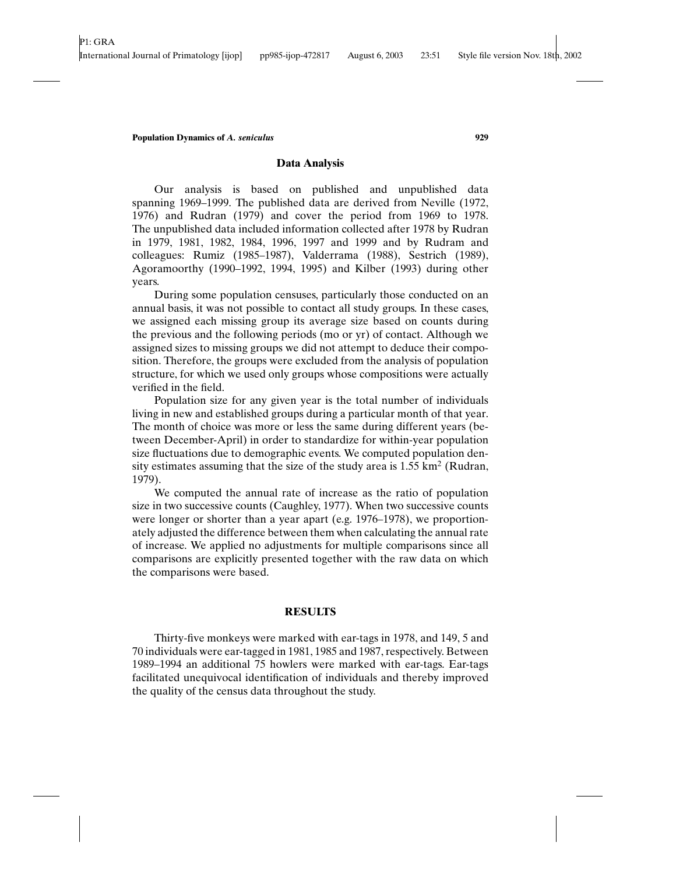### **Data Analysis**

Our analysis is based on published and unpublished data spanning 1969–1999. The published data are derived from Neville (1972, 1976) and Rudran (1979) and cover the period from 1969 to 1978. The unpublished data included information collected after 1978 by Rudran in 1979, 1981, 1982, 1984, 1996, 1997 and 1999 and by Rudram and colleagues: Rumiz (1985–1987), Valderrama (1988), Sestrich (1989), Agoramoorthy (1990–1992, 1994, 1995) and Kilber (1993) during other years.

During some population censuses, particularly those conducted on an annual basis, it was not possible to contact all study groups. In these cases, we assigned each missing group its average size based on counts during the previous and the following periods (mo or yr) of contact. Although we assigned sizes to missing groups we did not attempt to deduce their composition. Therefore, the groups were excluded from the analysis of population structure, for which we used only groups whose compositions were actually verified in the field.

Population size for any given year is the total number of individuals living in new and established groups during a particular month of that year. The month of choice was more or less the same during different years (between December-April) in order to standardize for within-year population size fluctuations due to demographic events. We computed population density estimates assuming that the size of the study area is  $1.55 \text{ km}^2$  (Rudran, 1979).

We computed the annual rate of increase as the ratio of population size in two successive counts (Caughley, 1977). When two successive counts were longer or shorter than a year apart (e.g. 1976–1978), we proportionately adjusted the difference between them when calculating the annual rate of increase. We applied no adjustments for multiple comparisons since all comparisons are explicitly presented together with the raw data on which the comparisons were based.

## **RESULTS**

Thirty-five monkeys were marked with ear-tags in 1978, and 149, 5 and 70 individuals were ear-tagged in 1981, 1985 and 1987, respectively. Between 1989–1994 an additional 75 howlers were marked with ear-tags. Ear-tags facilitated unequivocal identification of individuals and thereby improved the quality of the census data throughout the study.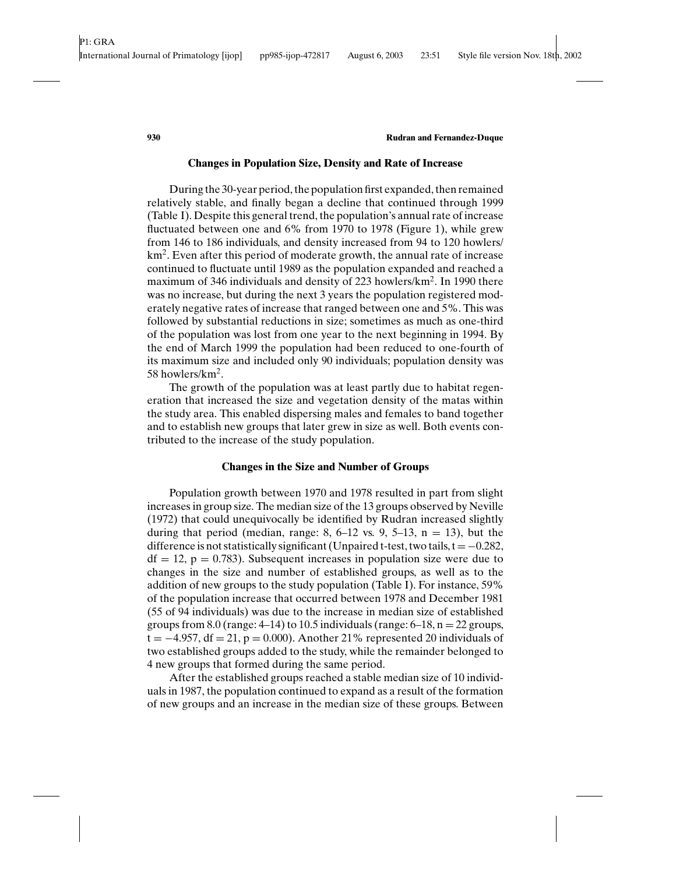### **Changes in Population Size, Density and Rate of Increase**

During the 30-year period, the population first expanded, then remained relatively stable, and finally began a decline that continued through 1999 (Table I). Despite this general trend, the population's annual rate of increase fluctuated between one and 6% from 1970 to 1978 (Figure 1), while grew from 146 to 186 individuals, and density increased from 94 to 120 howlers/ km<sup>2</sup>. Even after this period of moderate growth, the annual rate of increase continued to fluctuate until 1989 as the population expanded and reached a maximum of 346 individuals and density of 223 howlers/ $km^2$ . In 1990 there was no increase, but during the next 3 years the population registered moderately negative rates of increase that ranged between one and 5%. This was followed by substantial reductions in size; sometimes as much as one-third of the population was lost from one year to the next beginning in 1994. By the end of March 1999 the population had been reduced to one-fourth of its maximum size and included only 90 individuals; population density was 58 howlers/km<sup>2</sup>.

The growth of the population was at least partly due to habitat regeneration that increased the size and vegetation density of the matas within the study area. This enabled dispersing males and females to band together and to establish new groups that later grew in size as well. Both events contributed to the increase of the study population.

### **Changes in the Size and Number of Groups**

Population growth between 1970 and 1978 resulted in part from slight increases in group size. The median size of the 13 groups observed by Neville (1972) that could unequivocally be identified by Rudran increased slightly during that period (median, range: 8,  $6-12$  vs. 9,  $5-13$ ,  $n = 13$ ), but the difference is not statistically significant (Unpaired t-test, two tails,  $t=-0.282$ ,  $df = 12$ ,  $p = 0.783$ . Subsequent increases in population size were due to changes in the size and number of established groups, as well as to the addition of new groups to the study population (Table I). For instance, 59% of the population increase that occurred between 1978 and December 1981 (55 of 94 individuals) was due to the increase in median size of established groups from 8.0 (range: 4–14) to 10.5 individuals (range:  $6-18$ ,  $n = 22$  groups,  $t = -4.957$ , df = 21, p = 0.000). Another 21% represented 20 individuals of two established groups added to the study, while the remainder belonged to 4 new groups that formed during the same period.

After the established groups reached a stable median size of 10 individuals in 1987, the population continued to expand as a result of the formation of new groups and an increase in the median size of these groups. Between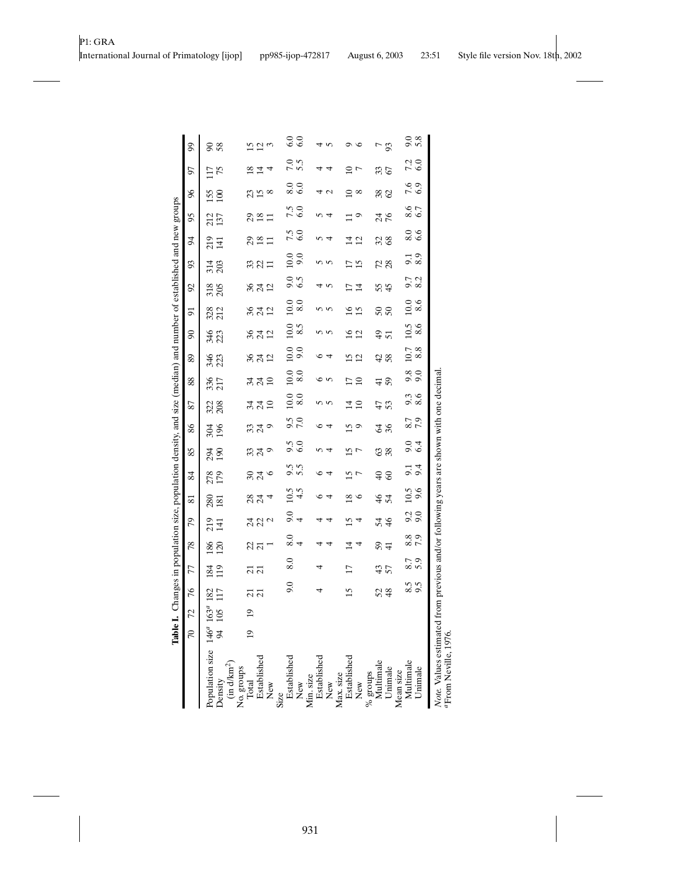| ×.<br>۰.<br>٧<br>۰.<br>v<br>$\sim$ |  |
|------------------------------------|--|
|------------------------------------|--|

|                                                                                                                        |                          |                         | Table I. Changes in population size, population density, and size (median) and number of established and new groups |               |                     |                                      |             |               |              |               |                  |             |            |                 |             |                |             |                         |            |                 |                       |                                   |
|------------------------------------------------------------------------------------------------------------------------|--------------------------|-------------------------|---------------------------------------------------------------------------------------------------------------------|---------------|---------------------|--------------------------------------|-------------|---------------|--------------|---------------|------------------|-------------|------------|-----------------|-------------|----------------|-------------|-------------------------|------------|-----------------|-----------------------|-----------------------------------|
|                                                                                                                        | $\approx$                | 72                      | 76                                                                                                                  | 77            | $\frac{8}{2}$       | 79                                   | ವ           | S4            | 85           | 86            | 87               | 88          | 89         | $\infty$        | 5           | 92             | 93          | 34                      | 95         | 96              | 50                    | 99                                |
| Population size<br>Density                                                                                             | $146^a$<br>$\frac{1}{2}$ | 163 <sup>a</sup><br>105 | 117<br>182                                                                                                          | 119<br>184    | 186<br>120          | $\frac{219}{21}$<br>$\overline{141}$ | 280<br>181  | 278<br>179    | 294<br>190   | 196<br>304    | 208<br>322       | 217<br>336  | 346<br>223 | 223<br>346      | 328<br>212  | 318<br>205     | 203<br>314  | 219<br>$\overline{141}$ | 137<br>212 | 55<br>100       | $\overline{17}$<br>75 | 88                                |
| (in d/km <sup>2</sup> )<br>No. groups                                                                                  |                          |                         |                                                                                                                     |               |                     |                                      |             |               |              |               |                  |             |            |                 |             |                |             |                         |            |                 |                       |                                   |
| Established<br>Total                                                                                                   | $\overline{0}$           | $\overline{19}$         | $\frac{21}{21}$                                                                                                     | ನ ನ           | ದ ಸ                 | 22<br>24                             | 28<br>24    | <u>ನ</u> ಸ    | 324          | 349           | 3<br>2<br>2<br>2 | <b>おばい</b>  | 872        | 2842            | % 72        | 2842           | 321         | $R \ncong H$            | 221        | 23              | ≌<br>$\sharp$         | <b>123</b>                        |
| New                                                                                                                    |                          |                         |                                                                                                                     |               |                     |                                      | 4           | $\circ$       | $\sigma$     |               |                  |             |            |                 |             |                |             |                         |            | $\infty$        | 4                     |                                   |
| Size                                                                                                                   |                          |                         |                                                                                                                     |               |                     |                                      |             |               |              |               |                  |             |            |                 |             |                |             |                         |            |                 |                       |                                   |
| Established<br>New                                                                                                     |                          |                         | 9.0                                                                                                                 | 8.0           | $\overline{8.0}$    | 9.0                                  | 4.5<br>10.5 | 9.5<br>5.5    | 9.5<br>6.0   | 9.5<br>7.0    | 8.0<br>10.0      | 10.0<br>8.0 | 9.0<br>0.0 | 8.5<br>10.0     | 8.0<br>10.0 | 0.5<br>0.6     | 9.0<br>10.0 | 7.5<br>6.0              | 7.5<br>6.0 | 6.0<br>8.0      | 5.5<br>7.0            | $\frac{0}{6}$<br>$\overline{6.0}$ |
| Min. size                                                                                                              |                          |                         |                                                                                                                     |               |                     |                                      |             |               |              |               |                  |             |            |                 |             |                |             |                         |            |                 |                       |                                   |
| Established                                                                                                            |                          |                         |                                                                                                                     |               |                     |                                      |             |               |              |               | n n              |             |            |                 |             |                |             |                         |            |                 |                       |                                   |
| New                                                                                                                    |                          |                         |                                                                                                                     |               |                     |                                      |             |               | ᆉ            |               |                  | ິທ          | ᆉ          |                 | $\sqrt{2}$  | $\Omega$       | $\sqrt{2}$  |                         |            | $\sim$          |                       | $\sqrt{ }$                        |
| Max. size                                                                                                              |                          |                         |                                                                                                                     |               |                     |                                      |             |               |              |               |                  |             |            |                 |             |                |             |                         |            |                 |                       |                                   |
| Established                                                                                                            |                          |                         | $15 \,$                                                                                                             | 17            | 4                   |                                      |             | 7<br>21       |              | <u>ر</u><br>م | $\frac{1}{4}$ 0  |             | 15<br>11   | 16/12           | 9 U<br>19   |                | 17          | ユコ                      |            |                 | ≘                     |                                   |
| New                                                                                                                    |                          |                         |                                                                                                                     |               |                     |                                      |             |               |              |               |                  | $\Xi$       |            |                 |             | $\overline{1}$ | 15          |                         | o          | $\infty$        | $\overline{ }$        | ৩                                 |
| sdnora<br>$\frac{8}{2}$                                                                                                |                          |                         |                                                                                                                     |               |                     |                                      |             |               |              |               |                  |             |            |                 |             |                |             |                         |            |                 |                       |                                   |
| Multimale                                                                                                              |                          |                         | 52                                                                                                                  | $rac{43}{57}$ | 59                  | $34\frac{4}{6}$                      | 464         | $\frac{4}{8}$ | $rac{38}{2}$ | 36            | 47               | ਜ ਨੂ        | 428        | $\frac{49}{51}$ | <u>ន</u>    | 55             | 728         | 28                      | $^{76}$    | 38 <sup>o</sup> | 35                    | $\frac{7}{3}$                     |
| Unimale                                                                                                                |                          |                         |                                                                                                                     |               |                     |                                      |             |               |              |               |                  |             |            |                 |             |                |             |                         |            |                 |                       |                                   |
| Mean size                                                                                                              |                          |                         |                                                                                                                     |               |                     |                                      |             |               |              |               |                  |             |            |                 |             |                |             |                         |            |                 |                       |                                   |
| Multimale                                                                                                              |                          |                         | Š.<br>∞                                                                                                             | 8.7           | 8.8                 | $\frac{2}{9.0}$                      | 10.5        | 9.1           | 9.0          | 8.7           | $\frac{3}{8.6}$  | 9.8         | 10.7       | 10.5            | 10.0        | 9.7            | 9.1         | 8.0                     | 8.6        | 7.6             | 7.2                   | $\frac{0}{6}$                     |
| Unimale                                                                                                                |                          |                         | 9.5                                                                                                                 | 5.9           | 7.9<br>$\mathbf{r}$ |                                      | 9.6         | 9.4           | 6.4          | 7.9           |                  | 9.0         | 8.8        | 8.6             | 8.6         | 82             | 8.9         | 6.6                     | 6.7        | 6.9             | 6.0                   | $\overline{5.8}$                  |
| Note. Values estimated from previous and/or following years are shown with one decimal<br>$\alpha$ From Neville, 1976. |                          |                         |                                                                                                                     |               |                     |                                      |             |               |              |               |                  |             |            |                 |             |                |             |                         |            |                 |                       |                                   |

# International Journal of Primatology [ijop] pp985-ijop-472817 August 6, 2003 23:51 Style file version Nov. 18th, 2002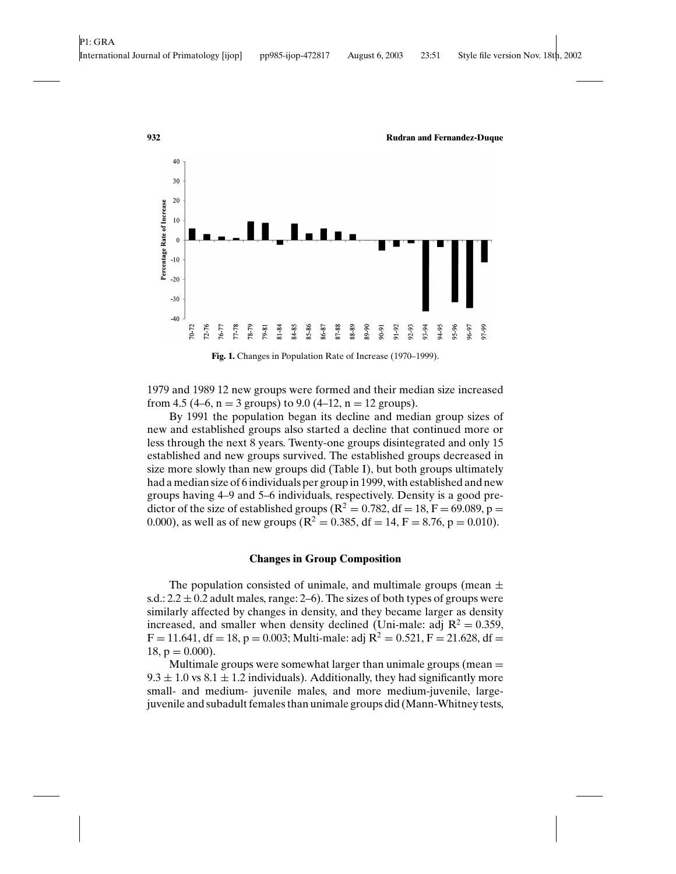

1979 and 1989 12 new groups were formed and their median size increased

from 4.5 (4–6, n = 3 groups) to 9.0 (4–12, n = 12 groups). By 1991 the population began its decline and median group sizes of

new and established groups also started a decline that continued more or less through the next 8 years. Twenty-one groups disintegrated and only 15 established and new groups survived. The established groups decreased in size more slowly than new groups did (Table I), but both groups ultimately had a median size of 6 individuals per group in 1999, with established and new groups having 4–9 and 5–6 individuals, respectively. Density is a good predictor of the size of established groups ( $R^2 = 0.782$ , df = 18, F = 69.089, p = 0.000), as well as of new groups ( $R^2 = 0.385$ , df = 14, F = 8.76, p = 0.010).

### **Changes in Group Composition**

The population consisted of unimale, and multimale groups (mean  $\pm$ s.d.:  $2.2 \pm 0.2$  adult males, range: 2–6). The sizes of both types of groups were similarly affected by changes in density, and they became larger as density increased, and smaller when density declined (Uni-male: adj  $R^2 = 0.359$ ,  $F = 11.641$ , df = 18, p = 0.003; Multi-male: adj  $R^2 = 0.521$ , F = 21.628, df = 18,  $p = 0.000$ ).

Multimale groups were somewhat larger than unimale groups (mean  $=$  $9.3 \pm 1.0$  vs  $8.1 \pm 1.2$  individuals). Additionally, they had significantly more small- and medium- juvenile males, and more medium-juvenile, largejuvenile and subadult females than unimale groups did (Mann-Whitney tests,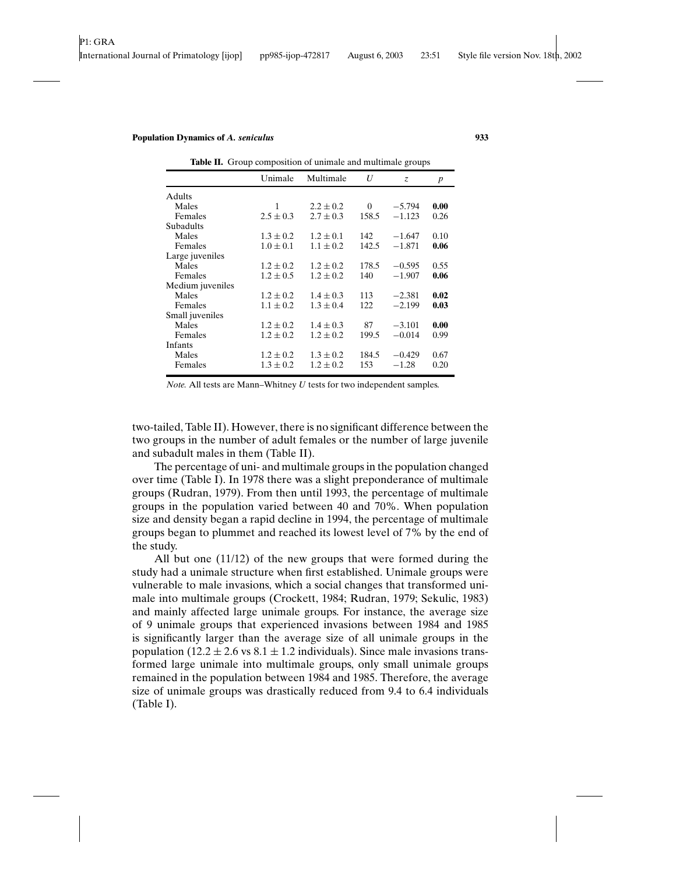| <b>Table II.</b> Group composition of unimale and multimale groups |               |               |          |          |                  |
|--------------------------------------------------------------------|---------------|---------------|----------|----------|------------------|
|                                                                    | Unimale       | Multimale     | U        | Z.       | $\boldsymbol{p}$ |
| <b>Adults</b>                                                      |               |               |          |          |                  |
| Males                                                              | 1             | $2.2 \pm 0.2$ | $\Omega$ | $-5.794$ | 0.00             |
| Females                                                            | $2.5 + 0.3$   | $2.7 + 0.3$   | 158.5    | $-1.123$ | 0.26             |
| Subadults                                                          |               |               |          |          |                  |
| Males                                                              | $1.3 \pm 0.2$ | $1.2 \pm 0.1$ | 142      | $-1.647$ | 0.10             |
| Females                                                            | $1.0 \pm 0.1$ | $1.1 \pm 0.2$ | 142.5    | $-1.871$ | 0.06             |
| Large juveniles                                                    |               |               |          |          |                  |
| Males                                                              | $1.2 \pm 0.2$ | $1.2 \pm 0.2$ | 178.5    | $-0.595$ | 0.55             |
| Females                                                            | $1.2 \pm 0.5$ | $1.2 \pm 0.2$ | 140      | $-1.907$ | 0.06             |
| Medium juveniles                                                   |               |               |          |          |                  |
| Males                                                              | $1.2 \pm 0.2$ | $1.4 \pm 0.3$ | 113      | $-2.381$ | 0.02             |
| Females                                                            | $1.1 \pm 0.2$ | $1.3 \pm 0.4$ | 122      | $-2.199$ | 0.03             |
| Small juveniles                                                    |               |               |          |          |                  |
| Males                                                              | $1.2 \pm 0.2$ | $1.4 \pm 0.3$ | 87       | $-3.101$ | 0.00             |
| Females                                                            | $1.2 \pm 0.2$ | $1.2 \pm 0.2$ | 199.5    | $-0.014$ | 0.99             |
| Infants                                                            |               |               |          |          |                  |
| Males                                                              | $1.2 \pm 0.2$ | $1.3 + 0.2$   | 184.5    | $-0.429$ | 0.67             |
| Females                                                            | $1.3 \pm 0.2$ | $1.2 \pm 0.2$ | 153      | $-1.28$  | 0.20             |

*Note.* All tests are Mann–Whitney *U* tests for two independent samples.

two-tailed, Table II). However, there is no significant difference between the two groups in the number of adult females or the number of large juvenile and subadult males in them (Table II).

The percentage of uni- and multimale groups in the population changed over time (Table I). In 1978 there was a slight preponderance of multimale groups (Rudran, 1979). From then until 1993, the percentage of multimale groups in the population varied between 40 and 70%. When population size and density began a rapid decline in 1994, the percentage of multimale groups began to plummet and reached its lowest level of 7% by the end of the study.

All but one (11/12) of the new groups that were formed during the study had a unimale structure when first established. Unimale groups were vulnerable to male invasions, which a social changes that transformed unimale into multimale groups (Crockett, 1984; Rudran, 1979; Sekulic, 1983) and mainly affected large unimale groups. For instance, the average size of 9 unimale groups that experienced invasions between 1984 and 1985 is significantly larger than the average size of all unimale groups in the population (12.2  $\pm$  2.6 vs 8.1  $\pm$  1.2 individuals). Since male invasions transformed large unimale into multimale groups, only small unimale groups remained in the population between 1984 and 1985. Therefore, the average size of unimale groups was drastically reduced from 9.4 to 6.4 individuals (Table I).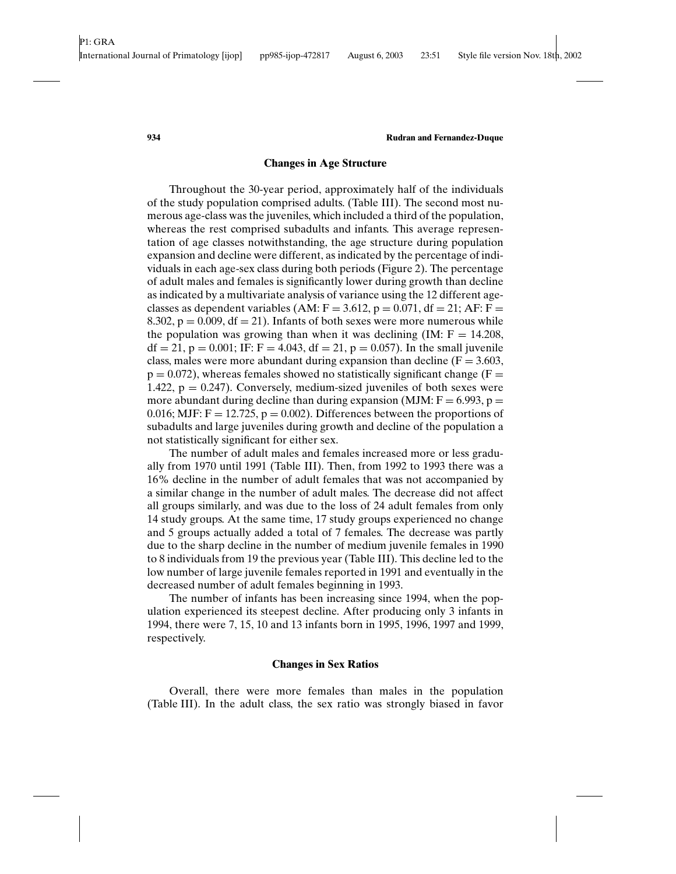### **Changes in Age Structure**

Throughout the 30-year period, approximately half of the individuals of the study population comprised adults. (Table III). The second most numerous age-class was the juveniles, which included a third of the population, whereas the rest comprised subadults and infants. This average representation of age classes notwithstanding, the age structure during population expansion and decline were different, as indicated by the percentage of individuals in each age-sex class during both periods (Figure 2). The percentage of adult males and females is significantly lower during growth than decline as indicated by a multivariate analysis of variance using the 12 different ageclasses as dependent variables (AM:  $F = 3.612$ ,  $p = 0.071$ , df = 21; AF: F = 8.302,  $p = 0.009$ ,  $df = 21$ ). Infants of both sexes were more numerous while the population was growing than when it was declining  $(IM: F = 14.208,$  $df = 21$ ,  $p = 0.001$ ; IF:  $F = 4.043$ ,  $df = 21$ ,  $p = 0.057$ ). In the small juvenile class, males were more abundant during expansion than decline ( $F = 3.603$ ,  $p = 0.072$ ), whereas females showed no statistically significant change (F = 1.422,  $p = 0.247$ . Conversely, medium-sized juveniles of both sexes were more abundant during decline than during expansion (MJM:  $F = 6.993$ ,  $p =$ 0.016; MJF:  $F = 12.725$ ,  $p = 0.002$ ). Differences between the proportions of subadults and large juveniles during growth and decline of the population a not statistically significant for either sex.

The number of adult males and females increased more or less gradually from 1970 until 1991 (Table III). Then, from 1992 to 1993 there was a 16% decline in the number of adult females that was not accompanied by a similar change in the number of adult males. The decrease did not affect all groups similarly, and was due to the loss of 24 adult females from only 14 study groups. At the same time, 17 study groups experienced no change and 5 groups actually added a total of 7 females. The decrease was partly due to the sharp decline in the number of medium juvenile females in 1990 to 8 individuals from 19 the previous year (Table III). This decline led to the low number of large juvenile females reported in 1991 and eventually in the decreased number of adult females beginning in 1993.

The number of infants has been increasing since 1994, when the population experienced its steepest decline. After producing only 3 infants in 1994, there were 7, 15, 10 and 13 infants born in 1995, 1996, 1997 and 1999, respectively.

#### **Changes in Sex Ratios**

Overall, there were more females than males in the population (Table III). In the adult class, the sex ratio was strongly biased in favor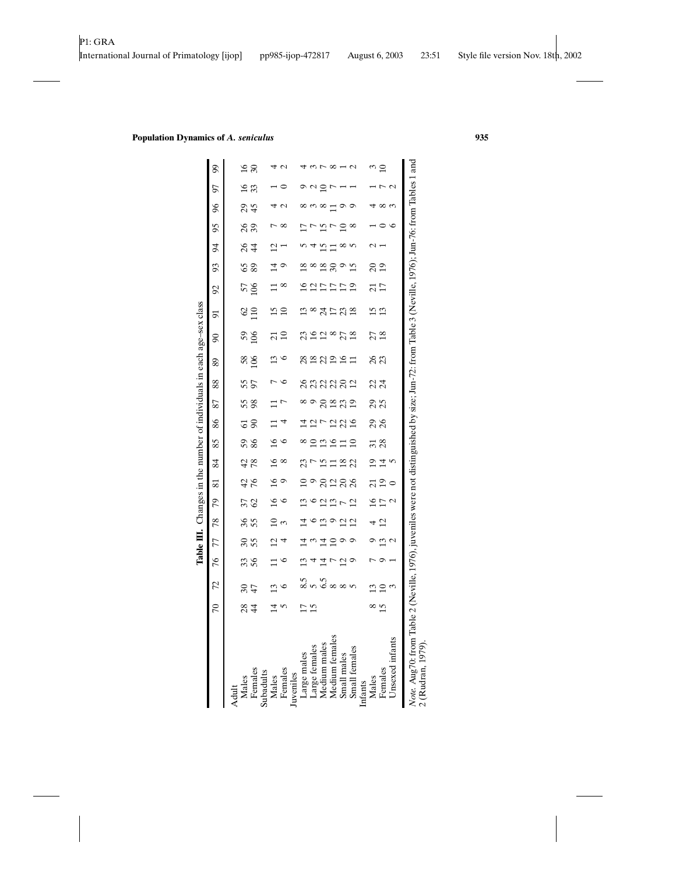|                                                                                                                                                                                 |                 |                          |                     |               |                     |                          |                |                 |                    |                |                |                |                |                  | Table III. Changes in the number of individuals in each age-sex class |                          |                 |             |    |    |               |                               |
|---------------------------------------------------------------------------------------------------------------------------------------------------------------------------------|-----------------|--------------------------|---------------------|---------------|---------------------|--------------------------|----------------|-----------------|--------------------|----------------|----------------|----------------|----------------|------------------|-----------------------------------------------------------------------|--------------------------|-----------------|-------------|----|----|---------------|-------------------------------|
|                                                                                                                                                                                 | $\overline{70}$ | 72                       | 76                  | 77            | 78                  | 79                       | ಜ              | 84              | 85                 | 86             | 87             | 88             | 89             | R                | 51                                                                    | 8                        | 93              | 94          | 95 | 96 | 56            | 99                            |
| Adult                                                                                                                                                                           |                 |                          |                     |               |                     |                          |                |                 |                    |                |                |                |                |                  |                                                                       |                          |                 |             |    |    |               |                               |
| Males                                                                                                                                                                           | $\frac{28}{4}$  | $\overline{\mathcal{E}}$ | 33                  |               |                     | 37                       |                |                 | 59                 | ଟ              | 55             | S5<br>97       | 58             |                  | 8                                                                     | 57                       | 65              |             |    | 29 | $\frac{6}{2}$ |                               |
| Females                                                                                                                                                                         |                 | 47                       | 56                  | <u>ສິ</u>     | 85                  | $\mathcal{O}$            | 42             | $\frac{42}{78}$ | 86                 | $\infty$       | 98             |                | 106            | $\frac{59}{106}$ | 10                                                                    | 106                      | 89              | 24          | 88 | 45 | 33            | $\frac{6}{20}$                |
| Subadults                                                                                                                                                                       |                 |                          |                     |               |                     |                          |                |                 |                    |                |                |                |                |                  |                                                                       |                          |                 |             |    |    |               |                               |
| Males                                                                                                                                                                           | 14              | 13                       |                     | 2             | ≘                   | $\overline{\circ}$       | $\frac{6}{1}$  | $\Xi$           | $\mathbf{\hat{e}}$ |                |                |                | $\mathfrak{u}$ | ಸ                | 15                                                                    |                          |                 | $\mathbf 2$ |    |    |               |                               |
| Females                                                                                                                                                                         |                 |                          |                     |               | $\epsilon$          |                          |                | ∞               | ७                  |                |                |                |                | $\overline{10}$  | ≘                                                                     | ${}^{\circ}$             | ๑               |             | ∞  |    |               | $\mathbf{\Omega}$             |
| luveniles                                                                                                                                                                       |                 |                          |                     |               |                     |                          |                |                 |                    |                |                |                |                |                  |                                                                       |                          |                 |             |    |    |               |                               |
| Large males                                                                                                                                                                     | $\overline{17}$ |                          |                     |               |                     |                          |                |                 |                    |                | ∞              | 26             | 28             | 23               | ≌                                                                     | $\mathbf{\underline{9}}$ |                 |             |    |    |               |                               |
| Large females                                                                                                                                                                   | 15              |                          |                     |               |                     |                          |                |                 |                    |                | ం              | 23             | $\frac{8}{2}$  | 16               | $^{\circ}$                                                            |                          | ∞               |             |    |    |               |                               |
| Medium males                                                                                                                                                                    |                 | 65                       |                     |               | 13                  | $\overline{\mathbf{c}}$  | ន              | 51              | ≌                  |                | $\overline{c}$ | 22             | ន គ            | $\frac{2}{8}$    | 21<br>7                                                               | 255                      | $\overline{8}$  |             |    |    |               |                               |
| Medium females                                                                                                                                                                  |                 | $\infty$                 |                     |               | $\circ$             | ≌                        | $\overline{c}$ | J.              | $\tilde{a}$        | $\overline{c}$ |                |                |                |                  |                                                                       |                          | 50              |             | ŗ  |    |               |                               |
| Small males                                                                                                                                                                     |                 | $\infty$                 | $\overline{\omega}$ |               | $\overline{c}$      |                          | $\approx$      | $\frac{8}{18}$  |                    | 22             | $\frac{8}{23}$ | $\overline{c}$ | 16             | 27               | $\mathfrak{L}$                                                        | $\Box$                   | Ō               | ∞           |    |    |               | $m \rhd \infty$ $\lhd$ $\lhd$ |
| Small females                                                                                                                                                                   |                 |                          |                     |               | $\overline{\omega}$ | $\overline{\omega}$      | 26             | 22              | ≘                  |                | $\overline{0}$ | $\overline{2}$ | 〓              | $\frac{8}{2}$    | $\overline{8}$                                                        | $\overline{0}$           | ്               |             |    |    |               |                               |
| Intants                                                                                                                                                                         |                 |                          |                     |               |                     |                          |                |                 |                    |                |                |                |                |                  |                                                                       |                          |                 |             |    |    |               |                               |
| Males                                                                                                                                                                           | ∞               |                          |                     |               |                     |                          |                | $\overline{0}$  | ភ $\frac{8}{2}$    | ನಿ ಸ           | 25             | 214            | ಸೆ ಜ           | 27               | 51                                                                    | ನ                        |                 |             |    |    |               | ౧ ⊆                           |
| Females                                                                                                                                                                         | 15              | $\Xi$                    | Φ                   | $\mathbf{13}$ | ≌                   | $\overline{\phantom{0}}$ | 19             | $\vec{1}$       |                    |                |                |                |                | 18               | $\mathfrak{L}$                                                        | $\overline{17}$          | $\overline{19}$ |             |    |    |               |                               |
| Unsexed infants                                                                                                                                                                 |                 | 3                        |                     | ¢             |                     | $\mathcal{C}$            | ⊂              | n               |                    |                |                |                |                |                  |                                                                       |                          |                 |             | ∽  | 3  | ¢             |                               |
| <i>Note.</i> Aug70: from Table 2 (Neville, 1976), juveniles were not distinguished by size; Jun-72: from Table 3 (Neville, 1976); Jun-76: from Tables 1 and<br>2 (Rudran, 1979) |                 |                          |                     |               |                     |                          |                |                 |                    |                |                |                |                |                  |                                                                       |                          |                 |             |    |    |               |                               |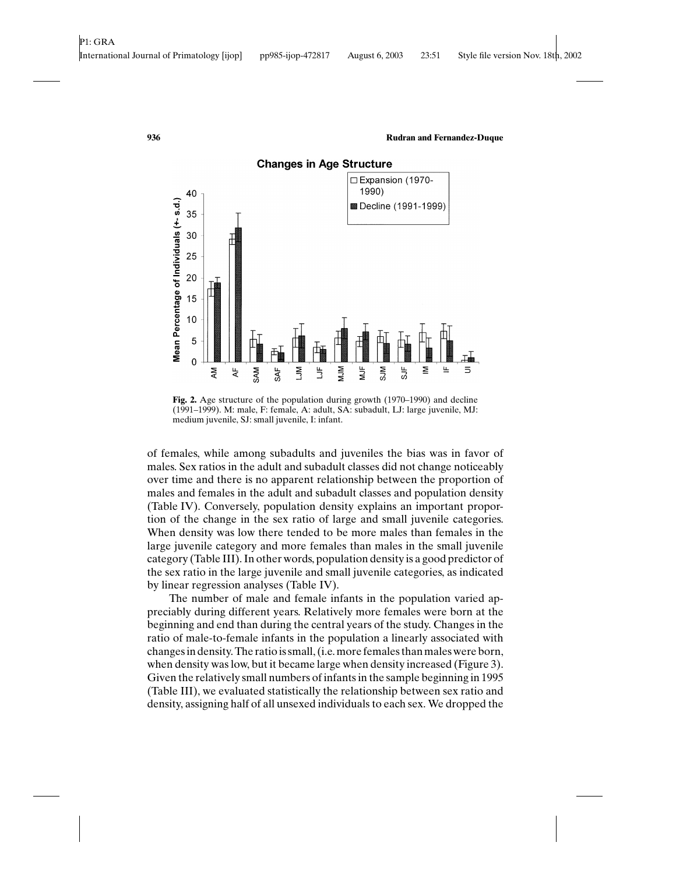

**Fig. 2.** Age structure of the population during growth (1970–1990) and decline (1991–1999). M: male, F: female, A: adult, SA: subadult, LJ: large juvenile, MJ: medium juvenile, SJ: small juvenile, I: infant.

of females, while among subadults and juveniles the bias was in favor of males. Sex ratios in the adult and subadult classes did not change noticeably over time and there is no apparent relationship between the proportion of males and females in the adult and subadult classes and population density (Table IV). Conversely, population density explains an important proportion of the change in the sex ratio of large and small juvenile categories. When density was low there tended to be more males than females in the large juvenile category and more females than males in the small juvenile category (Table III). In other words, population density is a good predictor of the sex ratio in the large juvenile and small juvenile categories, as indicated by linear regression analyses (Table IV).

The number of male and female infants in the population varied appreciably during different years. Relatively more females were born at the beginning and end than during the central years of the study. Changes in the ratio of male-to-female infants in the population a linearly associated with changes in density. The ratio is small, (i.e. more females than males were born, when density was low, but it became large when density increased (Figure 3). Given the relatively small numbers of infants in the sample beginning in 1995 (Table III), we evaluated statistically the relationship between sex ratio and density, assigning half of all unsexed individuals to each sex. We dropped the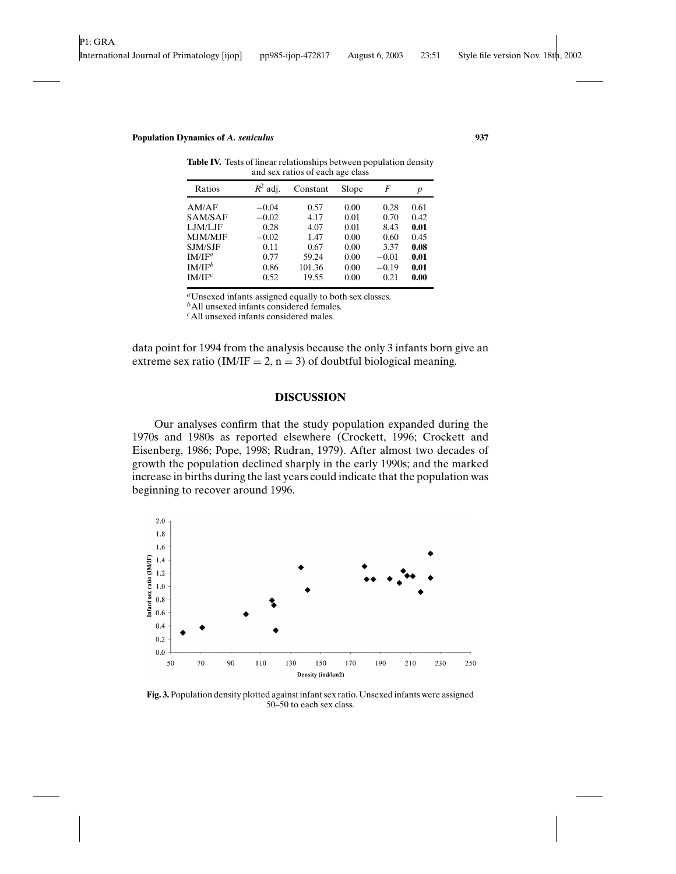**Table IV.** Tests of linear relationships between population density and sex ratios of each age class

| Ratios                                                                               | $R^2$ adj.                                                    | Constant                                                | Slope                                                | F                                                          | р                                                    |
|--------------------------------------------------------------------------------------|---------------------------------------------------------------|---------------------------------------------------------|------------------------------------------------------|------------------------------------------------------------|------------------------------------------------------|
| AM/AF<br>SAM/SAF<br>LJM/LJF<br>MJM/MJF<br>SJM/SJF<br>IM/IF <sup>a</sup><br>$IM/IF^b$ | $-0.04$<br>$-0.02$<br>0.28<br>$-0.02$<br>0.11<br>0.77<br>0.86 | 0.57<br>4.17<br>4.07<br>1.47<br>0.67<br>59.24<br>101.36 | 0.00<br>0.01<br>0.01<br>0.00<br>0.00<br>0.00<br>0.00 | 0.28<br>0.70<br>8.43<br>0.60<br>3.37<br>$-0.01$<br>$-0.19$ | 0.61<br>0.42<br>0.01<br>0.45<br>0.08<br>0.01<br>0.01 |
| IM/IF <sup>c</sup>                                                                   | 0.52                                                          | 19.55                                                   | 0.00                                                 | 0.21                                                       | 0.00                                                 |

*<sup>a</sup>*Unsexed infants assigned equally to both sex classes.

*b*All unsexed infants considered females.

*<sup>c</sup>*All unsexed infants considered males.

data point for 1994 from the analysis because the only 3 infants born give an extreme sex ratio (IM/IF = 2, n = 3) of doubtful biological meaning.

# **DISCUSSION**

Our analyses confirm that the study population expanded during the 1970s and 1980s as reported elsewhere (Crockett, 1996; Crockett and Eisenberg, 1986; Pope, 1998; Rudran, 1979). After almost two decades of growth the population declined sharply in the early 1990s; and the marked increase in births during the last years could indicate that the population was beginning to recover around 1996.



**Fig. 3.** Population density plotted against infant sex ratio. Unsexed infants were assigned 50–50 to each sex class.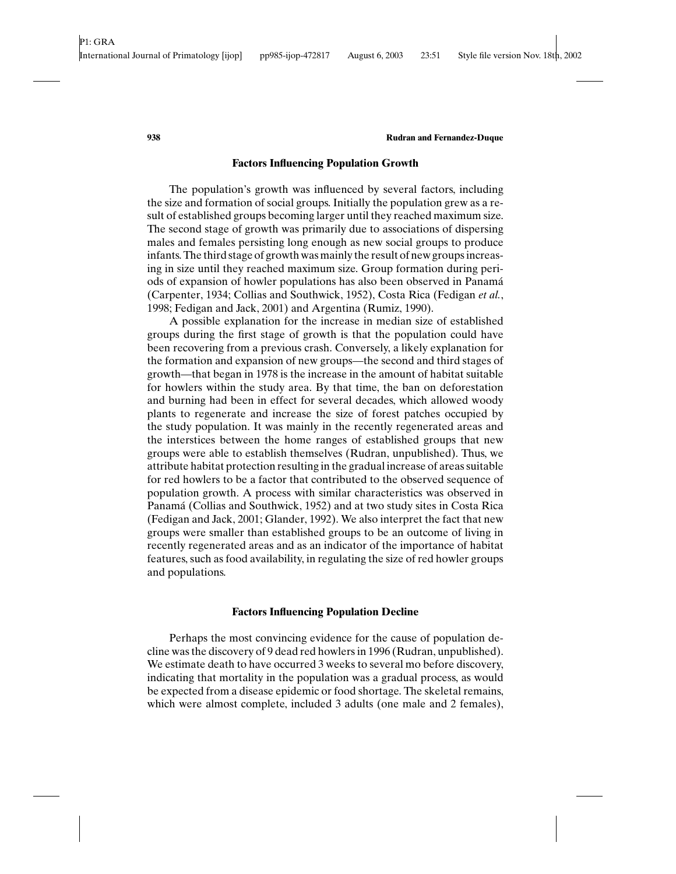### **Factors Influencing Population Growth**

The population's growth was influenced by several factors, including the size and formation of social groups. Initially the population grew as a result of established groups becoming larger until they reached maximum size. The second stage of growth was primarily due to associations of dispersing males and females persisting long enough as new social groups to produce infants. The third stage of growth was mainly the result of new groups increasing in size until they reached maximum size. Group formation during periods of expansion of howler populations has also been observed in Panama´ (Carpenter, 1934; Collias and Southwick, 1952), Costa Rica (Fedigan *et al.*, 1998; Fedigan and Jack, 2001) and Argentina (Rumiz, 1990).

A possible explanation for the increase in median size of established groups during the first stage of growth is that the population could have been recovering from a previous crash. Conversely, a likely explanation for the formation and expansion of new groups—the second and third stages of growth—that began in 1978 is the increase in the amount of habitat suitable for howlers within the study area. By that time, the ban on deforestation and burning had been in effect for several decades, which allowed woody plants to regenerate and increase the size of forest patches occupied by the study population. It was mainly in the recently regenerated areas and the interstices between the home ranges of established groups that new groups were able to establish themselves (Rudran, unpublished). Thus, we attribute habitat protection resulting in the gradual increase of areas suitable for red howlers to be a factor that contributed to the observed sequence of population growth. A process with similar characteristics was observed in Panama (Collias and Southwick, 1952) and at two study sites in Costa Rica ´ (Fedigan and Jack, 2001; Glander, 1992). We also interpret the fact that new groups were smaller than established groups to be an outcome of living in recently regenerated areas and as an indicator of the importance of habitat features, such as food availability, in regulating the size of red howler groups and populations.

### **Factors Influencing Population Decline**

Perhaps the most convincing evidence for the cause of population decline was the discovery of 9 dead red howlers in 1996 (Rudran, unpublished). We estimate death to have occurred 3 weeks to several mo before discovery, indicating that mortality in the population was a gradual process, as would be expected from a disease epidemic or food shortage. The skeletal remains, which were almost complete, included 3 adults (one male and 2 females),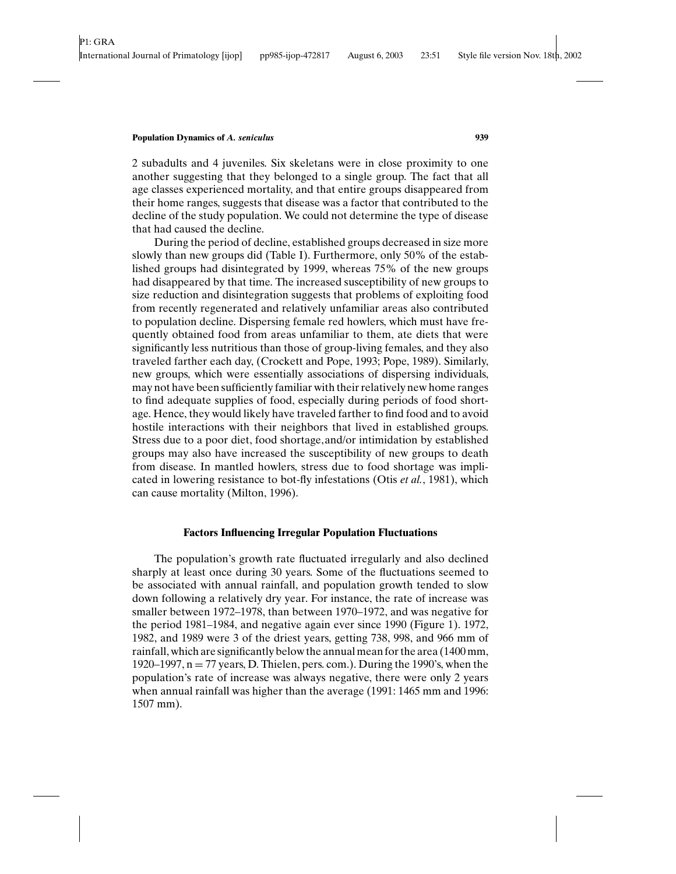2 subadults and 4 juveniles. Six skeletans were in close proximity to one another suggesting that they belonged to a single group. The fact that all age classes experienced mortality, and that entire groups disappeared from their home ranges, suggests that disease was a factor that contributed to the decline of the study population. We could not determine the type of disease that had caused the decline.

During the period of decline, established groups decreased in size more slowly than new groups did (Table I). Furthermore, only 50% of the established groups had disintegrated by 1999, whereas 75% of the new groups had disappeared by that time. The increased susceptibility of new groups to size reduction and disintegration suggests that problems of exploiting food from recently regenerated and relatively unfamiliar areas also contributed to population decline. Dispersing female red howlers, which must have frequently obtained food from areas unfamiliar to them, ate diets that were significantly less nutritious than those of group-living females, and they also traveled farther each day, (Crockett and Pope, 1993; Pope, 1989). Similarly, new groups, which were essentially associations of dispersing individuals, may not have been sufficiently familiar with their relatively new home ranges to find adequate supplies of food, especially during periods of food shortage. Hence, they would likely have traveled farther to find food and to avoid hostile interactions with their neighbors that lived in established groups. Stress due to a poor diet, food shortage,and/or intimidation by established groups may also have increased the susceptibility of new groups to death from disease. In mantled howlers, stress due to food shortage was implicated in lowering resistance to bot-fly infestations (Otis *et al.*, 1981), which can cause mortality (Milton, 1996).

### **Factors Influencing Irregular Population Fluctuations**

The population's growth rate fluctuated irregularly and also declined sharply at least once during 30 years. Some of the fluctuations seemed to be associated with annual rainfall, and population growth tended to slow down following a relatively dry year. For instance, the rate of increase was smaller between 1972–1978, than between 1970–1972, and was negative for the period 1981–1984, and negative again ever since 1990 (Figure 1). 1972, 1982, and 1989 were 3 of the driest years, getting 738, 998, and 966 mm of rainfall, which are significantly below the annual mean for the area (1400 mm, 1920–1997,  $n = 77$  years, D. Thielen, pers. com.). During the 1990's, when the population's rate of increase was always negative, there were only 2 years when annual rainfall was higher than the average (1991: 1465 mm and 1996: 1507 mm).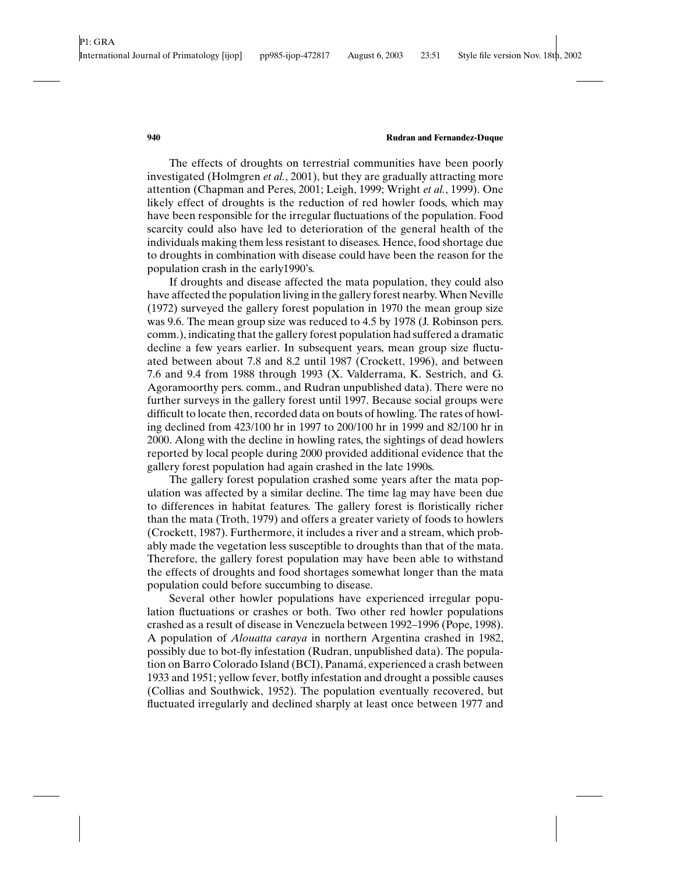The effects of droughts on terrestrial communities have been poorly investigated (Holmgren *et al.*, 2001), but they are gradually attracting more attention (Chapman and Peres, 2001; Leigh, 1999; Wright *et al.*, 1999). One likely effect of droughts is the reduction of red howler foods, which may have been responsible for the irregular fluctuations of the population. Food scarcity could also have led to deterioration of the general health of the individuals making them less resistant to diseases. Hence, food shortage due to droughts in combination with disease could have been the reason for the population crash in the early1990's.

If droughts and disease affected the mata population, they could also have affected the population living in the gallery forest nearby. When Neville (1972) surveyed the gallery forest population in 1970 the mean group size was 9.6. The mean group size was reduced to 4.5 by 1978 (J. Robinson pers. comm.), indicating that the gallery forest population had suffered a dramatic decline a few years earlier. In subsequent years, mean group size fluctuated between about 7.8 and 8.2 until 1987 (Crockett, 1996), and between 7.6 and 9.4 from 1988 through 1993 (X. Valderrama, K. Sestrich, and G. Agoramoorthy pers. comm., and Rudran unpublished data). There were no further surveys in the gallery forest until 1997. Because social groups were difficult to locate then, recorded data on bouts of howling. The rates of howling declined from 423/100 hr in 1997 to 200/100 hr in 1999 and 82/100 hr in 2000. Along with the decline in howling rates, the sightings of dead howlers reported by local people during 2000 provided additional evidence that the gallery forest population had again crashed in the late 1990s.

The gallery forest population crashed some years after the mata population was affected by a similar decline. The time lag may have been due to differences in habitat features. The gallery forest is floristically richer than the mata (Troth, 1979) and offers a greater variety of foods to howlers (Crockett, 1987). Furthermore, it includes a river and a stream, which probably made the vegetation less susceptible to droughts than that of the mata. Therefore, the gallery forest population may have been able to withstand the effects of droughts and food shortages somewhat longer than the mata population could before succumbing to disease.

Several other howler populations have experienced irregular population fluctuations or crashes or both. Two other red howler populations crashed as a result of disease in Venezuela between 1992–1996 (Pope, 1998). A population of *Alouatta caraya* in northern Argentina crashed in 1982, possibly due to bot-fly infestation (Rudran, unpublished data). The population on Barro Colorado Island (BCI), Panama, experienced a crash between ´ 1933 and 1951; yellow fever, botfly infestation and drought a possible causes (Collias and Southwick, 1952). The population eventually recovered, but fluctuated irregularly and declined sharply at least once between 1977 and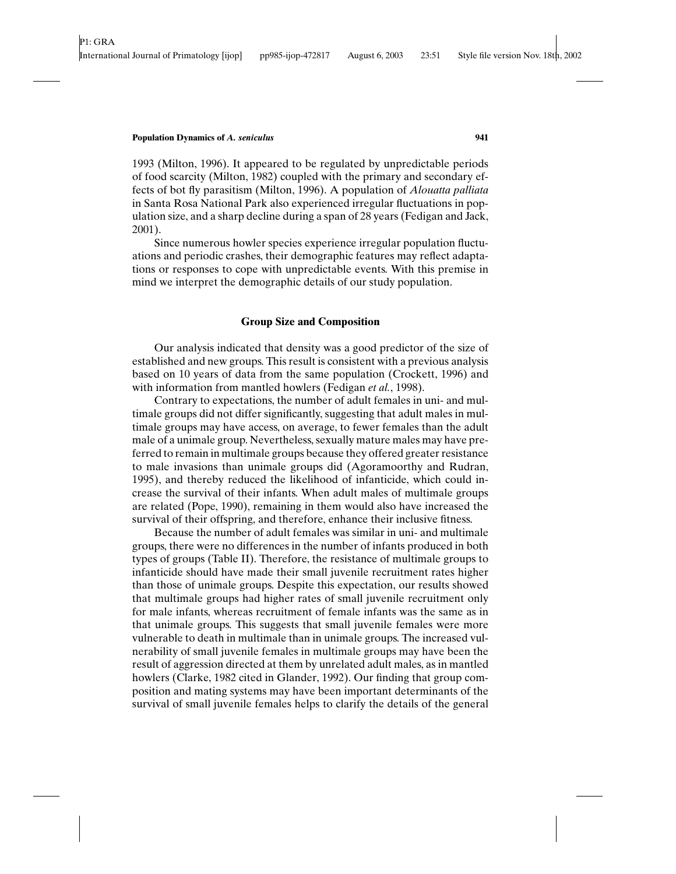1993 (Milton, 1996). It appeared to be regulated by unpredictable periods of food scarcity (Milton, 1982) coupled with the primary and secondary effects of bot fly parasitism (Milton, 1996). A population of *Alouatta palliata* in Santa Rosa National Park also experienced irregular fluctuations in population size, and a sharp decline during a span of 28 years (Fedigan and Jack, 2001).

Since numerous howler species experience irregular population fluctuations and periodic crashes, their demographic features may reflect adaptations or responses to cope with unpredictable events. With this premise in mind we interpret the demographic details of our study population.

### **Group Size and Composition**

Our analysis indicated that density was a good predictor of the size of established and new groups. This result is consistent with a previous analysis based on 10 years of data from the same population (Crockett, 1996) and with information from mantled howlers (Fedigan *et al.*, 1998).

Contrary to expectations, the number of adult females in uni- and multimale groups did not differ significantly, suggesting that adult males in multimale groups may have access, on average, to fewer females than the adult male of a unimale group. Nevertheless, sexually mature males may have preferred to remain in multimale groups because they offered greater resistance to male invasions than unimale groups did (Agoramoorthy and Rudran, 1995), and thereby reduced the likelihood of infanticide, which could increase the survival of their infants. When adult males of multimale groups are related (Pope, 1990), remaining in them would also have increased the survival of their offspring, and therefore, enhance their inclusive fitness.

Because the number of adult females was similar in uni- and multimale groups, there were no differences in the number of infants produced in both types of groups (Table II). Therefore, the resistance of multimale groups to infanticide should have made their small juvenile recruitment rates higher than those of unimale groups. Despite this expectation, our results showed that multimale groups had higher rates of small juvenile recruitment only for male infants, whereas recruitment of female infants was the same as in that unimale groups. This suggests that small juvenile females were more vulnerable to death in multimale than in unimale groups. The increased vulnerability of small juvenile females in multimale groups may have been the result of aggression directed at them by unrelated adult males, as in mantled howlers (Clarke, 1982 cited in Glander, 1992). Our finding that group composition and mating systems may have been important determinants of the survival of small juvenile females helps to clarify the details of the general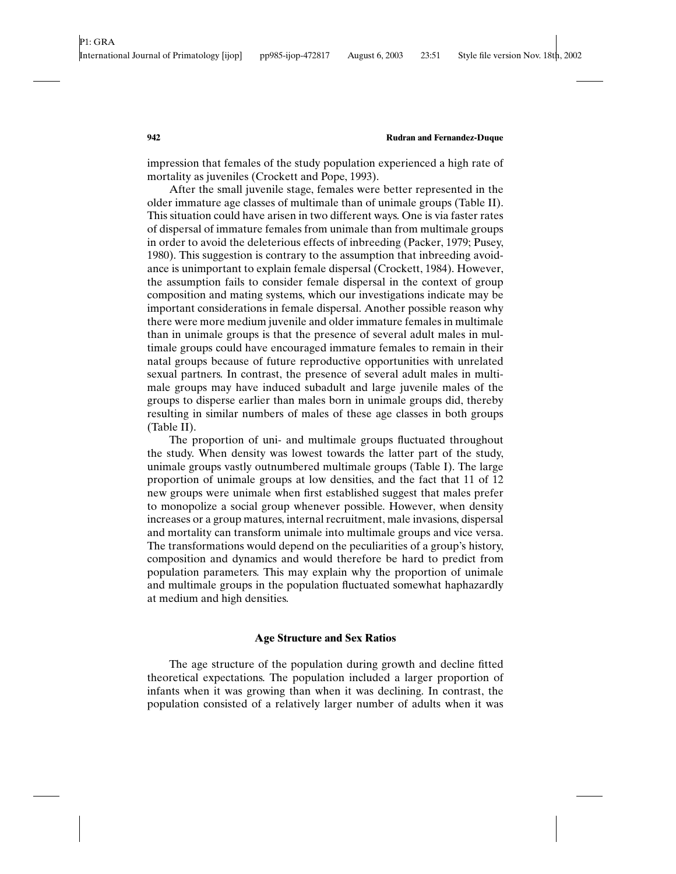impression that females of the study population experienced a high rate of mortality as juveniles (Crockett and Pope, 1993).

After the small juvenile stage, females were better represented in the older immature age classes of multimale than of unimale groups (Table II). This situation could have arisen in two different ways. One is via faster rates of dispersal of immature females from unimale than from multimale groups in order to avoid the deleterious effects of inbreeding (Packer, 1979; Pusey, 1980). This suggestion is contrary to the assumption that inbreeding avoidance is unimportant to explain female dispersal (Crockett, 1984). However, the assumption fails to consider female dispersal in the context of group composition and mating systems, which our investigations indicate may be important considerations in female dispersal. Another possible reason why there were more medium juvenile and older immature females in multimale than in unimale groups is that the presence of several adult males in multimale groups could have encouraged immature females to remain in their natal groups because of future reproductive opportunities with unrelated sexual partners. In contrast, the presence of several adult males in multimale groups may have induced subadult and large juvenile males of the groups to disperse earlier than males born in unimale groups did, thereby resulting in similar numbers of males of these age classes in both groups (Table II).

The proportion of uni- and multimale groups fluctuated throughout the study. When density was lowest towards the latter part of the study, unimale groups vastly outnumbered multimale groups (Table I). The large proportion of unimale groups at low densities, and the fact that 11 of 12 new groups were unimale when first established suggest that males prefer to monopolize a social group whenever possible. However, when density increases or a group matures, internal recruitment, male invasions, dispersal and mortality can transform unimale into multimale groups and vice versa. The transformations would depend on the peculiarities of a group's history, composition and dynamics and would therefore be hard to predict from population parameters. This may explain why the proportion of unimale and multimale groups in the population fluctuated somewhat haphazardly at medium and high densities.

### **Age Structure and Sex Ratios**

The age structure of the population during growth and decline fitted theoretical expectations. The population included a larger proportion of infants when it was growing than when it was declining. In contrast, the population consisted of a relatively larger number of adults when it was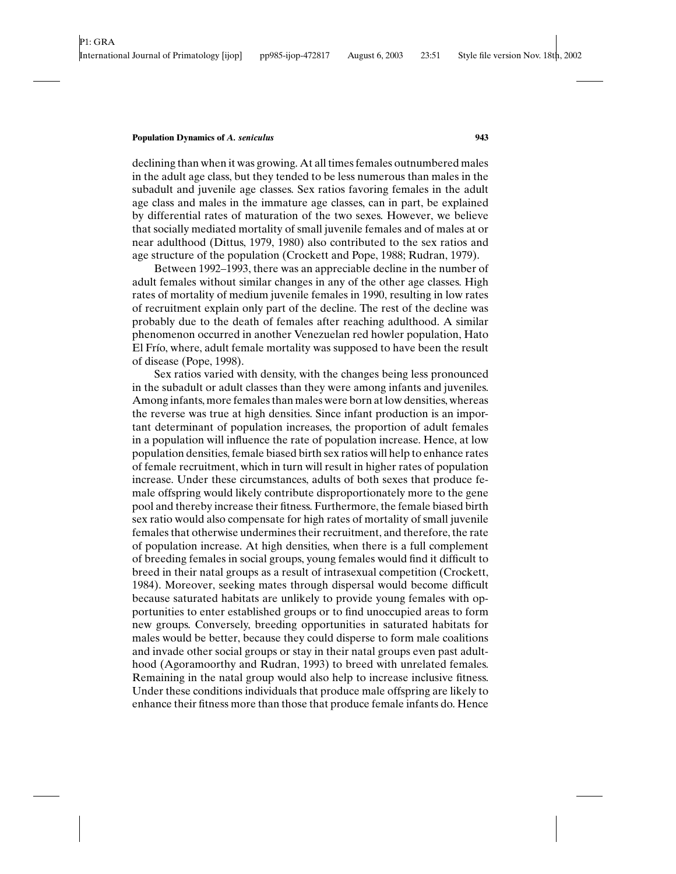declining than when it was growing. At all times females outnumbered males in the adult age class, but they tended to be less numerous than males in the subadult and juvenile age classes. Sex ratios favoring females in the adult age class and males in the immature age classes, can in part, be explained by differential rates of maturation of the two sexes. However, we believe that socially mediated mortality of small juvenile females and of males at or near adulthood (Dittus, 1979, 1980) also contributed to the sex ratios and age structure of the population (Crockett and Pope, 1988; Rudran, 1979).

Between 1992–1993, there was an appreciable decline in the number of adult females without similar changes in any of the other age classes. High rates of mortality of medium juvenile females in 1990, resulting in low rates of recruitment explain only part of the decline. The rest of the decline was probably due to the death of females after reaching adulthood. A similar phenomenon occurred in another Venezuelan red howler population, Hato El Frío, where, adult female mortality was supposed to have been the result of disease (Pope, 1998).

Sex ratios varied with density, with the changes being less pronounced in the subadult or adult classes than they were among infants and juveniles. Among infants, more females than males were born at low densities, whereas the reverse was true at high densities. Since infant production is an important determinant of population increases, the proportion of adult females in a population will influence the rate of population increase. Hence, at low population densities, female biased birth sex ratios will help to enhance rates of female recruitment, which in turn will result in higher rates of population increase. Under these circumstances, adults of both sexes that produce female offspring would likely contribute disproportionately more to the gene pool and thereby increase their fitness. Furthermore, the female biased birth sex ratio would also compensate for high rates of mortality of small juvenile females that otherwise undermines their recruitment, and therefore, the rate of population increase. At high densities, when there is a full complement of breeding females in social groups, young females would find it difficult to breed in their natal groups as a result of intrasexual competition (Crockett, 1984). Moreover, seeking mates through dispersal would become difficult because saturated habitats are unlikely to provide young females with opportunities to enter established groups or to find unoccupied areas to form new groups. Conversely, breeding opportunities in saturated habitats for males would be better, because they could disperse to form male coalitions and invade other social groups or stay in their natal groups even past adulthood (Agoramoorthy and Rudran, 1993) to breed with unrelated females. Remaining in the natal group would also help to increase inclusive fitness. Under these conditions individuals that produce male offspring are likely to enhance their fitness more than those that produce female infants do. Hence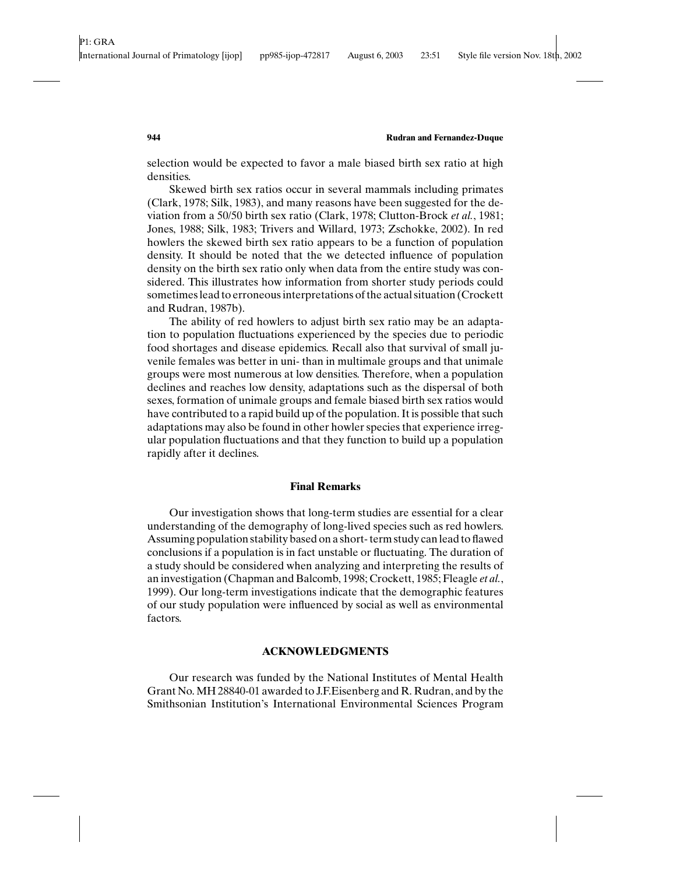selection would be expected to favor a male biased birth sex ratio at high densities.

Skewed birth sex ratios occur in several mammals including primates (Clark, 1978; Silk, 1983), and many reasons have been suggested for the deviation from a 50/50 birth sex ratio (Clark, 1978; Clutton-Brock *et al.*, 1981; Jones, 1988; Silk, 1983; Trivers and Willard, 1973; Zschokke, 2002). In red howlers the skewed birth sex ratio appears to be a function of population density. It should be noted that the we detected influence of population density on the birth sex ratio only when data from the entire study was considered. This illustrates how information from shorter study periods could sometimes lead to erroneous interpretations of the actual situation (Crockett and Rudran, 1987b).

The ability of red howlers to adjust birth sex ratio may be an adaptation to population fluctuations experienced by the species due to periodic food shortages and disease epidemics. Recall also that survival of small juvenile females was better in uni- than in multimale groups and that unimale groups were most numerous at low densities. Therefore, when a population declines and reaches low density, adaptations such as the dispersal of both sexes, formation of unimale groups and female biased birth sex ratios would have contributed to a rapid build up of the population. It is possible that such adaptations may also be found in other howler species that experience irregular population fluctuations and that they function to build up a population rapidly after it declines.

### **Final Remarks**

Our investigation shows that long-term studies are essential for a clear understanding of the demography of long-lived species such as red howlers. Assuming population stability based on a short- term study can lead to flawed conclusions if a population is in fact unstable or fluctuating. The duration of a study should be considered when analyzing and interpreting the results of an investigation (Chapman and Balcomb, 1998; Crockett, 1985; Fleagle *et al.*, 1999). Our long-term investigations indicate that the demographic features of our study population were influenced by social as well as environmental factors.

# **ACKNOWLEDGMENTS**

Our research was funded by the National Institutes of Mental Health Grant No. MH 28840-01 awarded to J.F.Eisenberg and R. Rudran, and by the Smithsonian Institution's International Environmental Sciences Program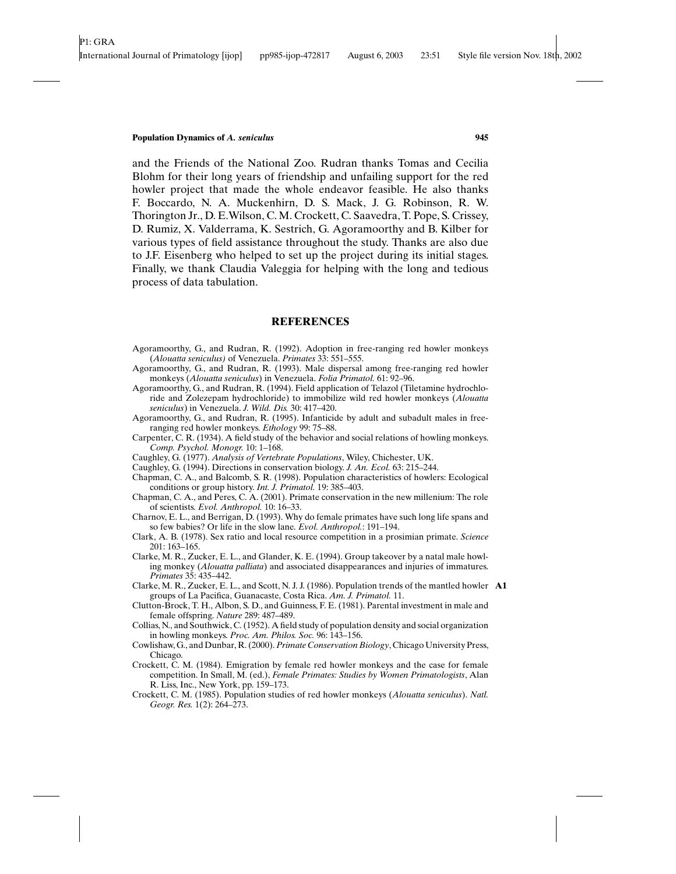and the Friends of the National Zoo. Rudran thanks Tomas and Cecilia Blohm for their long years of friendship and unfailing support for the red howler project that made the whole endeavor feasible. He also thanks F. Boccardo, N. A. Muckenhirn, D. S. Mack, J. G. Robinson, R. W. Thorington Jr., D. E.Wilson, C. M. Crockett, C. Saavedra, T. Pope, S. Crissey, D. Rumiz, X. Valderrama, K. Sestrich, G. Agoramoorthy and B. Kilber for various types of field assistance throughout the study. Thanks are also due to J.F. Eisenberg who helped to set up the project during its initial stages. Finally, we thank Claudia Valeggia for helping with the long and tedious process of data tabulation.

### **REFERENCES**

- Agoramoorthy, G., and Rudran, R. (1992). Adoption in free-ranging red howler monkeys (*Alouatta seniculus)* of Venezuela. *Primates* 33: 551–555.
- Agoramoorthy, G., and Rudran, R. (1993). Male dispersal among free-ranging red howler monkeys (*Alouatta seniculus*) in Venezuela. *Folia Primatol.* 61: 92–96.
- Agoramoorthy, G., and Rudran, R. (1994). Field application of Telazol (Tiletamine hydrochloride and Zolezepam hydrochloride) to immobilize wild red howler monkeys (*Alouatta seniculus*) in Venezuela. *J. Wild. Dis.* 30: 417–420.
- Agoramoorthy, G., and Rudran, R. (1995). Infanticide by adult and subadult males in freeranging red howler monkeys. *Ethology* 99: 75–88.
- Carpenter, C. R. (1934). A field study of the behavior and social relations of howling monkeys. *Comp. Psychol. Monogr.* 10: 1–168.
- Caughley, G. (1977). *Analysis of Vertebrate Populations*, Wiley, Chichester, UK.

Caughley, G. (1994). Directions in conservation biology. *J. An. Ecol.* 63: 215–244.

- Chapman, C. A., and Balcomb, S. R. (1998). Population characteristics of howlers: Ecological conditions or group history. *Int. J. Primatol.* 19: 385–403.
- Chapman, C. A., and Peres, C. A. (2001). Primate conservation in the new millenium: The role of scientists. *Evol. Anthropol.* 10: 16–33.
- Charnov, E. L., and Berrigan, D. (1993). Why do female primates have such long life spans and so few babies? Or life in the slow lane. *Evol. Anthropol.*: 191–194.
- Clark, A. B. (1978). Sex ratio and local resource competition in a prosimian primate. *Science* 201: 163–165.
- Clarke, M. R., Zucker, E. L., and Glander, K. E. (1994). Group takeover by a natal male howling monkey (*Alouatta palliata*) and associated disappearances and injuries of immatures. *Primates* 35: 435–442.
- Clarke, M. R., Zucker, E. L., and Scott, N. J. J. (1986). Population trends of the mantled howler **A1** groups of La Pacifica, Guanacaste, Costa Rica. *Am. J. Primatol.* 11.
- Clutton-Brock, T. H., Albon, S. D., and Guinness, F. E. (1981). Parental investment in male and female offspring. *Nature* 289: 487–489.
- Collias, N., and Southwick, C. (1952). A field study of population density and social organization in howling monkeys. *Proc. Am. Philos. Soc.* 96: 143–156.
- Cowlishaw, G., and Dunbar, R. (2000).*Primate Conservation Biology*, Chicago University Press, Chicago.
- Crockett, C. M. (1984). Emigration by female red howler monkeys and the case for female competition. In Small, M. (ed.), *Female Primates: Studies by Women Primatologists*, Alan R. Liss, Inc., New York, pp. 159–173.
- Crockett, C. M. (1985). Population studies of red howler monkeys (*Alouatta seniculus*). *Natl. Geogr. Res.* 1(2): 264–273.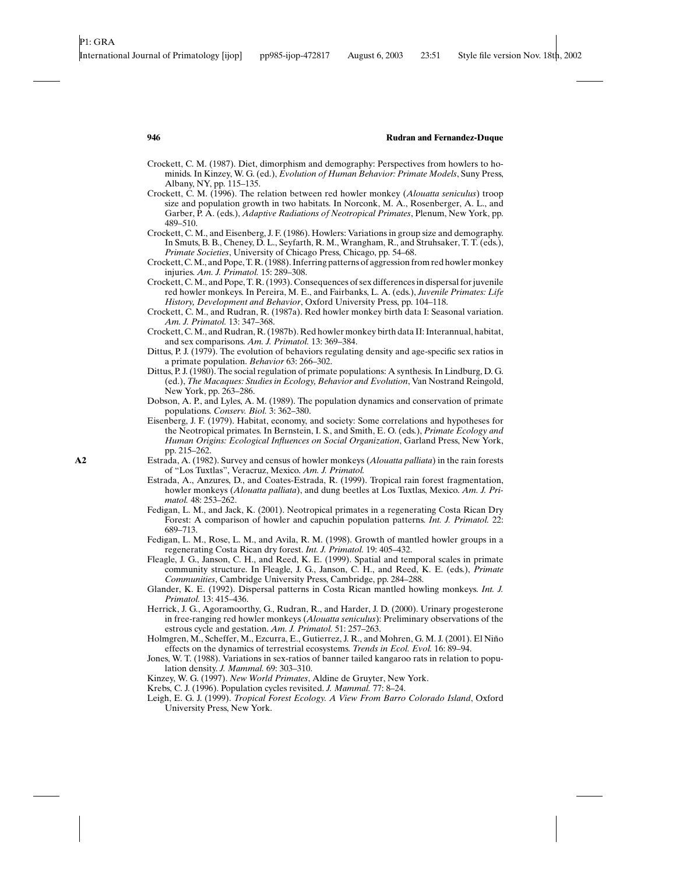- Crockett, C. M. (1987). Diet, dimorphism and demography: Perspectives from howlers to hominids. In Kinzey, W. G. (ed.), *Evolution of Human Behavior: Primate Models*, Suny Press, Albany, NY, pp. 115–135.
- Crockett, C. M. (1996). The relation between red howler monkey (*Alouatta seniculus*) troop size and population growth in two habitats. In Norconk, M. A., Rosenberger, A. L., and Garber, P. A. (eds.), *Adaptive Radiations of Neotropical Primates*, Plenum, New York, pp. 489–510.
- Crockett, C. M., and Eisenberg, J. F. (1986). Howlers: Variations in group size and demography. In Smuts, B. B., Cheney, D. L., Seyfarth, R. M., Wrangham, R., and Struhsaker, T. T. (eds.), *Primate Societies*, University of Chicago Press, Chicago, pp. 54–68.
- Crockett, C. M., and Pope, T. R. (1988). Inferring patterns of aggression from red howler monkey injuries. *Am. J. Primatol.* 15: 289–308.
- Crockett, C. M., and Pope, T. R. (1993). Consequences of sex differences in dispersal for juvenile red howler monkeys. In Pereira, M. E., and Fairbanks, L. A. (eds.), *Juvenile Primates: Life History, Development and Behavior*, Oxford University Press, pp. 104–118.
- Crockett, C. M., and Rudran, R. (1987a). Red howler monkey birth data I: Seasonal variation. *Am. J. Primatol.* 13: 347–368.
- Crockett, C. M., and Rudran, R. (1987b). Red howler monkey birth data II: Interannual, habitat, and sex comparisons. *Am. J. Primatol.* 13: 369–384.
- Dittus, P. J. (1979). The evolution of behaviors regulating density and age-specific sex ratios in a primate population. *Behavior* 63: 266–302.
- Dittus, P. J. (1980). The social regulation of primate populations: A synthesis. In Lindburg, D. G. (ed.), *The Macaques: Studies in Ecology, Behavior and Evolution*, Van Nostrand Reingold, New York, pp. 263–286.
- Dobson, A. P., and Lyles, A. M. (1989). The population dynamics and conservation of primate populations. *Conserv. Biol.* 3: 362–380.
- Eisenberg, J. F. (1979). Habitat, economy, and society: Some correlations and hypotheses for the Neotropical primates. In Bernstein, I. S., and Smith, E. O. (eds.), *Primate Ecology and Human Origins: Ecological Influences on Social Organization*, Garland Press, New York, pp. 215–262.
- **A2** Estrada, A. (1982). Survey and census of howler monkeys (*Alouatta palliata*) in the rain forests of "Los Tuxtlas", Veracruz, Mexico. *Am. J. Primatol.*
	- Estrada, A., Anzures, D., and Coates-Estrada, R. (1999). Tropical rain forest fragmentation, howler monkeys (*Alouatta palliata*), and dung beetles at Los Tuxtlas, Mexico. *Am. J. Primatol.* 48: 253–262.
	- Fedigan, L. M., and Jack, K. (2001). Neotropical primates in a regenerating Costa Rican Dry Forest: A comparison of howler and capuchin population patterns. *Int. J. Primatol.* 22: 689–713.
	- Fedigan, L. M., Rose, L. M., and Avila, R. M. (1998). Growth of mantled howler groups in a regenerating Costa Rican dry forest. *Int. J. Primatol.* 19: 405–432.
	- Fleagle, J. G., Janson, C. H., and Reed, K. E. (1999). Spatial and temporal scales in primate community structure. In Fleagle, J. G., Janson, C. H., and Reed, K. E. (eds.), *Primate Communities*, Cambridge University Press, Cambridge, pp. 284–288.
	- Glander, K. E. (1992). Dispersal patterns in Costa Rican mantled howling monkeys. *Int. J. Primatol.* 13: 415–436.
	- Herrick, J. G., Agoramoorthy, G., Rudran, R., and Harder, J. D. (2000). Urinary progesterone in free-ranging red howler monkeys (*Alouatta seniculus*): Preliminary observations of the estrous cycle and gestation. *Am. J. Primatol.* 51: 257–263.
	- Holmgren, M., Scheffer, M., Ezcurra, E., Gutierrez, J. R., and Mohren, G. M. J. (2001). El Niño effects on the dynamics of terrestrial ecosystems. *Trends in Ecol. Evol.* 16: 89–94.
	- Jones, W. T. (1988). Variations in sex-ratios of banner tailed kangaroo rats in relation to population density. *J. Mammal.* 69: 303–310.
	- Kinzey, W. G. (1997). *New World Primates*, Aldine de Gruyter, New York.
	- Krebs, C. J. (1996). Population cycles revisited. *J. Mammal.* 77: 8–24.
	- Leigh, E. G. J. (1999). *Tropical Forest Ecology. A View From Barro Colorado Island*, Oxford University Press, New York.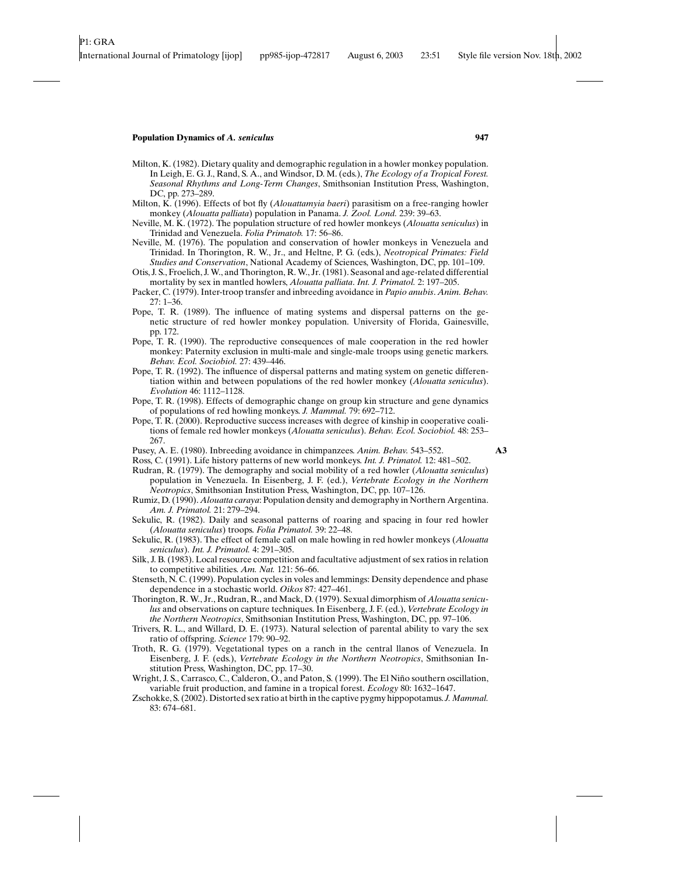- Milton, K. (1982). Dietary quality and demographic regulation in a howler monkey population. In Leigh, E. G. J., Rand, S. A., and Windsor, D. M. (eds.), *The Ecology of a Tropical Forest. Seasonal Rhythms and Long-Term Changes*, Smithsonian Institution Press, Washington, DC, pp. 273–289.
- Milton, K. (1996). Effects of bot fly (*Alouattamyia baeri*) parasitism on a free-ranging howler monkey (*Alouatta palliata*) population in Panama. *J. Zool. Lond.* 239: 39–63.
- Neville, M. K. (1972). The population structure of red howler monkeys (*Alouatta seniculus*) in Trinidad and Venezuela. *Folia Primatob.* 17: 56–86.
- Neville, M. (1976). The population and conservation of howler monkeys in Venezuela and Trinidad. In Thorington, R. W., Jr., and Heltne, P. G. (eds.), *Neotropical Primates: Field Studies and Conservation*, National Academy of Sciences, Washington, DC, pp. 101–109.
- Otis, J. S., Froelich, J. W., and Thorington, R. W., Jr. (1981). Seasonal and age-related differential mortality by sex in mantled howlers, *Alouatta palliata*. *Int. J. Primatol.* 2: 197–205.
- Packer, C. (1979). Inter-troop transfer and inbreeding avoidance in *Papio anubis*. *Anim. Behav.* 27: 1–36.
- Pope, T. R. (1989). The influence of mating systems and dispersal patterns on the genetic structure of red howler monkey population. University of Florida, Gainesville, pp. 172.
- Pope, T. R. (1990). The reproductive consequences of male cooperation in the red howler monkey: Paternity exclusion in multi-male and single-male troops using genetic markers. *Behav. Ecol. Sociobiol.* 27: 439–446.
- Pope, T. R. (1992). The influence of dispersal patterns and mating system on genetic differentiation within and between populations of the red howler monkey (*Alouatta seniculus*). *Evolution* 46: 1112–1128.
- Pope, T. R. (1998). Effects of demographic change on group kin structure and gene dynamics of populations of red howling monkeys. *J. Mammal.* 79: 692–712.
- Pope, T. R. (2000). Reproductive success increases with degree of kinship in cooperative coalitions of female red howler monkeys (*Alouatta seniculus*). *Behav. Ecol. Sociobiol.* 48: 253– 267.
- Pusey, A. E. (1980). Inbreeding avoidance in chimpanzees. *Anim. Behav.* 543–552. **A3**
	-
- Ross, C. (1991). Life history patterns of new world monkeys. *Int. J. Primatol.* 12: 481–502.
- Rudran, R. (1979). The demography and social mobility of a red howler (*Alouatta seniculus*) population in Venezuela. In Eisenberg, J. F. (ed.), *Vertebrate Ecology in the Northern Neotropics*, Smithsonian Institution Press, Washington, DC, pp. 107–126.
- Rumiz, D. (1990). *Alouatta caraya*: Population density and demography in Northern Argentina. *Am. J. Primatol.* 21: 279–294.
- Sekulic, R. (1982). Daily and seasonal patterns of roaring and spacing in four red howler (*Alouatta seniculus*) troops. *Folia Primatol.* 39: 22–48.
- Sekulic, R. (1983). The effect of female call on male howling in red howler monkeys (*Alouatta seniculus*). *Int. J. Primatol.* 4: 291–305.
- Silk, J. B. (1983). Local resource competition and facultative adjustment of sex ratios in relation to competitive abilities. *Am. Nat.* 121: 56–66.
- Stenseth, N. C. (1999). Population cycles in voles and lemmings: Density dependence and phase dependence in a stochastic world. *Oikos* 87: 427–461.
- Thorington, R. W., Jr., Rudran, R., and Mack, D. (1979). Sexual dimorphism of *Alouatta seniculus* and observations on capture techniques. In Eisenberg, J. F. (ed.), *Vertebrate Ecology in the Northern Neotropics*, Smithsonian Institution Press, Washington, DC, pp. 97–106.
- Trivers, R. L., and Willard, D. E. (1973). Natural selection of parental ability to vary the sex ratio of offspring. *Science* 179: 90–92.
- Troth, R. G. (1979). Vegetational types on a ranch in the central llanos of Venezuela. In Eisenberg, J. F. (eds.), *Vertebrate Ecology in the Northern Neotropics*, Smithsonian Institution Press, Washington, DC, pp. 17–30.
- Wright, J. S., Carrasco, C., Calderon, O., and Paton, S. (1999). The El Niño southern oscillation, variable fruit production, and famine in a tropical forest. *Ecology* 80: 1632–1647.
- Zschokke, S. (2002). Distorted sex ratio at birth in the captive pygmy hippopotamus. *J. Mammal.* 83: 674–681.